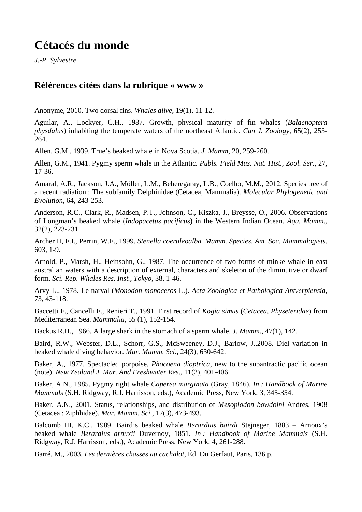## **Cétacés du monde**

*J.-P. Sylvestre* 

## **Références citées dans la rubrique « www »**

Anonyme, 2010. Two dorsal fins. *Whales alive*, 19(1), 11-12.

Aguilar, A., Lockyer, C.H., 1987. Growth, physical maturity of fin whales (*Balaenoptera physdalus*) inhabiting the temperate waters of the northeast Atlantic. *Can J. Zoology*, 65(2), 253- 264.

Allen, G.M., 1939. True's beaked whale in Nova Scotia. *J. Mamm*, 20, 259-260.

Allen, G.M., 1941. Pygmy sperm whale in the Atlantic. *Publs. Field Mus. Nat. Hist., Zool. Ser*., 27, 17-36.

Amaral, A.R., Jackson, J.A., Möller, L.M., Beheregaray, L.B., Coelho, M.M., 2012. Species tree of a recent radiation : The subfamily Delphinidae (Cetacea, Mammalia). *Molecular Phylogenetic and Evolution*, 64, 243-253.

Anderson, R.C., Clark, R., Madsen, P.T., Johnson, C., Kiszka, J., Breysse, O., 2006. Observations of Longman's beaked whale (*Indopacetus pacificus*) in the Western Indian Ocean. *Aqu. Mamm*., 32(2), 223-231.

Archer II, F.I., Perrin, W.F., 1999. *Stenella coeruleoalba. Mamm. Species, Am. Soc. Mammalogists*, 603, 1-9.

Arnold, P., Marsh, H., Heinsohn, G., 1987. The occurrence of two forms of minke whale in east australian waters with a description of external, characters and skeleton of the diminutive or dwarf form. *Sci. Rep. Whales Res. Inst., Tokyo*, 38, 1-46.

Arvy L., 1978. Le narval (*Monodon monoceros* L.). *Acta Zoologica et Pathologica Antverpiensia*, 73, 43-118.

Baccetti F., Cancelli F., Renieri T., 1991. First record of *Kogia simus* (*Cetacea*, *Physeteridae*) from Mediterranean Sea. *Mammalia*, 55 (1), 152-154.

Backus R.H., 1966. A large shark in the stomach of a sperm whale. *J. Mamm*., 47(1), 142.

Baird, R.W., Webster, D.L., Schorr, G.S., McSweeney, D.J., Barlow, J.,2008. Diel variation in beaked whale diving behavior. *Mar. Mamm. Sci*., 24(3), 630-642.

Baker, A., 1977. Spectacled porpoise, *Phocoena dioptrica*, new to the subantractic pacific ocean (note). *New Zealand J. Mar. And Freshwater Res*., 11(2), 401-406.

Baker, A.N., 1985. Pygmy right whale *Caperea marginata* (Gray, 1846). *In : Handbook of Marine Mammals* (S.H. Ridgway, R.J. Harrisson, eds.), Academic Press, New York, 3, 345-354.

Baker, A.N., 2001. Status, relationships, and distribution of *Mesoplodon bowdoini* Andres, 1908 (Cetacea : Ziphhidae). *Mar. Mamm. Sci*., 17(3), 473-493.

Balcomb III, K.C., 1989. Baird's beaked whale *Berardius bairdi* Stejneger, 1883 – Arnoux's beaked whale *Berardius arnuxii* Duvernoy, 1851. *In : Handbook of Marine Mammals* (S.H. Ridgway, R.J. Harrisson, eds.), Academic Press, New York, 4, 261-288.

Barré, M., 2003. *Les dernières chasses au cachalot,* Éd. Du Gerfaut, Paris, 136 p.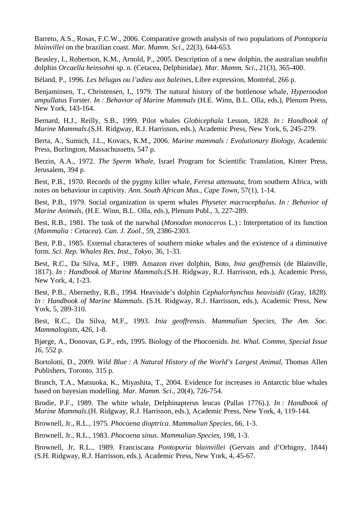Barreto, A.S., Rosas, F.C.W., 2006. Comparative growth analysis of two populations of *Pontoporia blainvillei* on the brazilian coast. *Mar. Mamm. Sci*., 22(3), 644-653.

Beasley, I., Robertson, K.M., Arnold, P., 2005. Description of a new dolphin, the australian snubfin dolphin *Orcaella heinsohni* sp. n. (Cetacea, Delphinidae). *Mar. Mamm. Sci*., 21(3), 365-400.

Béland, P., 1996. *Les bélugas ou l'adieu aux baleines*, Libre expression, Montréal, 266 p.

Benjaminsen, T., Christensen, I., 1979. The natural history of the bottlenose whale, *Hyperoodon ampullatus* Forster. *In : Behavior of Marine Mammals* (H.E. Winn, B.L. Olla, eds.), Plenum Press, New York, 143-164.

Bernard, H.J., Reilly, S.B., 1999. Pilot whales *Globicephala* Lesson, 1828. *In : Handbook of Marine Mammals*.(S.H. Ridgway, R.J. Harrisson, eds.), Academic Press, New York, 6, 245-279.

Berta, A., Sumich, J.L., Kovacs, K.M., 2006. *Marine mammals : Evolutionary Biology,* Academic Press, Burlington, Massachussetts, 547 p.

Berzin, A.A., 1972. *The Sperm Whale,* Israel Program for Scientific Translation, Kinter Press, Jerusalem, 394 p.

Best, P.B., 1970. Records of the pygmy killer whale, *Feresa attenuata*, from southern Africa, with notes on behaviour in captivity. *Ann. South African Mus*., *Cape Town*, 57(1), 1-14.

Best, P.B., 1979. Social organization in sperm whales *Physeter macrocephalus*. *In : Behavior of Marine Animals*, (H.E. Winn, B.L. Olla, eds.), Plenum Publ., 3, 227-289.

Best, R.B., 1981. The tusk of the narwhal (*Monodon monoceros* L.) : Interpretation of its function (*Mammalia : Cetacea*). *Can. J. Zool*., 59, 2386-2303.

Best, P.B., 1985. External characteres of southern minke whales and the existence of a diminutive form. *Sci. Rep. Whales Res. Inst., Tokyo*, 36, 1-33.

Best, R.C., Da Silva, M.F., 1989. Amazon river dolphin, Boto, *Inia geoffrensis* (de Blainville, 1817). *In : Handbook of Marine Mammals*.(S.H. Ridgway, R.J. Harrisson, eds.), Academic Press, New York, 4, 1-23.

Best, P.B., Abernethy, R.B., 1994. Heaviside's dolphin *Cephalorhynchus heavisidii* (Gray, 1828). *In : Handbook of Marine Mammals*. (S.H. Ridgway, R.J. Harrisson, eds.), Academic Press, New York, 5, 289-310.

Best, R.C., Da Silva, M.F., 1993. *Inia geoffrensis*. *Mammalian Species, The Am. Soc. Mammalogists*, 426, 1-8.

Bjørge, A., Donovan, G.P., eds, 1995. Biology of the Phocoenids. *Int. Whal. Commn, Special Issue 16*, 552 p.

Bortolotti, D., 2009. *Wild Blue : A Natural History of the World's Largest Animal*, Thomas Allen Publishers, Toronto, 315 p.

Branch, T.A., Matsuoka, K., Miyashita, T., 2004. Evidence for increases in Antarctic blue whales based on bayesian modelling. *Mar. Mamm. Sci*., 20(4), 726-754.

Brodie, P.F., 1989. The white whale, Delphinapterus leucas (Pallas 1776).). *In : Handbook of Marine Mammals*.(H. Ridgway, R.J. Harrisson, eds.), Academic Press, New York, 4, 119-144.

Brownell, Jr., R.L., 1975. *Phocoena dioptrica*. *Mammalian Species*, 66, 1-3.

Brownell, Jr., R.L., 1983. *Phocoena sinus*. *Mammalian Species*, 198, 1-3.

Brownell, Jr, R.L., 1989. Franciscana *Pontoporia blainvillei* (Gervais and d'Orbigny, 1844) (S.H. Ridgway, R.J. Harrisson, eds.), Academic Press, New York, 4, 45-67.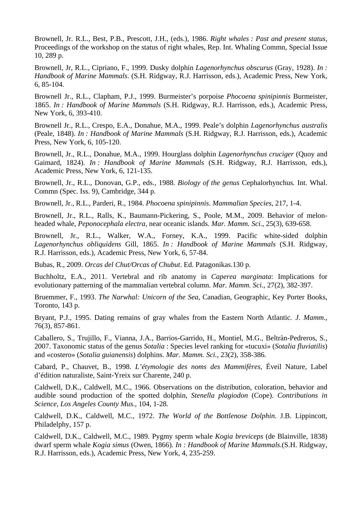Brownell, Jr. R.L., Best, P.B., Prescott, J.H., (eds.), 1986. *Right whales : Past and present status,* Proceedings of the workshop on the status of right whales, Rep. Int. Whaling Commn, Special Issue 10, 289 p.

Brownell, Jr, R.L., Cipriano, F., 1999. Dusky dolphin *Lagenorhynchus obscurus* (Gray, 1928). *In : Handbook of Marine Mammals*. (S.H. Ridgway, R.J. Harrisson, eds.), Academic Press, New York, 6, 85-104.

Brownell Jr., R.L., Clapham, P.J., 1999. Burmeister's porpoise *Phocoena spinipinnis* Burmeister, 1865. *In : Handbook of Marine Mammals* (S.H. Ridgway, R.J. Harrisson, eds.), Academic Press, New York, 6, 393-410.

Brownell Jr., R.L., Crespo, E.A., Donahue, M.A., 1999. Peale's dolphin *Lagenorhynchus australis* (Peale, 1848). *In : Handbook of Marine Mammals* (S.H. Ridgway, R.J. Harrisson, eds.), Academic Press, New York, 6, 105-120.

Brownell, Jr., R.L., Donahue, M.A., 1999. Hourglass dolphin *Lagenorhynchus cruciger* (Quoy and Gaimard, 1824). *In : Handbook of Marine Mammals* (S.H. Ridgway, R.J. Harrisson, eds.), Academic Press, New York, 6, 121-135.

Brownell, Jr., R.L., Donovan, G.P., eds., 1988. *Biology of the genus* Cephalorhynchus*.* Int. Whal. Commn (Spec. Iss. 9), Cambridge, 344 p.

Brownell, Jr., R.L., Parderi, R., 1984. *Phocoena spinipinnis*. *Mammalian Species*, 217, 1-4.

Brownell, Jr., R.L., Ralls, K., Baumann-Pickering, S., Poole, M.M., 2009. Behavior of melonheaded whale, *Peponocephala electra*, near oceanic islands. *Mar. Mamm. Sci.*, 25(3), 639-658.

Brownell, Jr., R.L., Walker, W.A., Forney, K.A., 1999. Pacific white-sided dolphin *Lagenorhynchus obliquidens* Gill, 1865. *In : Handbook of Marine Mammals* (S.H. Ridgway, R.J. Harrisson, eds.), Academic Press, New York, 6, 57-84.

Bubas, R., 2009. *Orcas del Chut/Orcas of Chubut*. Ed. Patagonikas.130 p.

Buchholtz, E.A., 2011. Vertebral and rib anatomy in *Caperea marginata*: Implications for evolutionary patterning of the mammalian vertebral column. *Mar. Mamm. Sci*., 27(2), 382-397.

Bruemmer, F., 1993. *The Narwhal: Unicorn of the Sea*, Canadian, Geographic, Key Porter Books, Toronto, 143 p.

Bryant, P.J., 1995. Dating remains of gray whales from the Eastern North Atlantic*. J. Mamm*., 76(3), 857-861.

Caballero, S., Trujillo, F., Vianna, J.A., Barrios-Garrido, H., Montiel, M.G., Beltràn-Pedreros, S., 2007. Taxonomic status of the genus *Sotalia* : Species level ranking for «tucuxi» (*Sotalia fluviatilis*) and «costero» (*Sotalia guianensis*) dolphins. *Mar. Mamm. Sci.*, 23(2), 358-386.

Cabard, P., Chauvet, B., 1998. *L'étymologie des noms des Mammifères*, Éveil Nature, Label d'édition naturaliste, Saint-Yreix sur Charente, 240 p.

Caldwell, D.K., Caldwell, M.C., 1966. Observations on the distribution, coloration, behavior and audible sound production of the spotted dolphin, *Stenella plagiodon* (Cope). *Contributions in Science, Los Angeles County Mus*., 104, 1-28.

Caldwell, D.K., Caldwell, M.C., 1972. *The World of the Bottlenose Dolphin*. J.B. Lippincott, Philadelphy, 157 p.

Caldwell, D.K., Caldwell, M.C., 1989. Pygmy sperm whale *Kogia breviceps* (de Blainville, 1838) dwarf sperm whale *Kogia simus* (Owen, 1866). *In : Handbook of Marine Mammals*.(S.H. Ridgway, R.J. Harrisson, eds.), Academic Press, New York, 4, 235-259.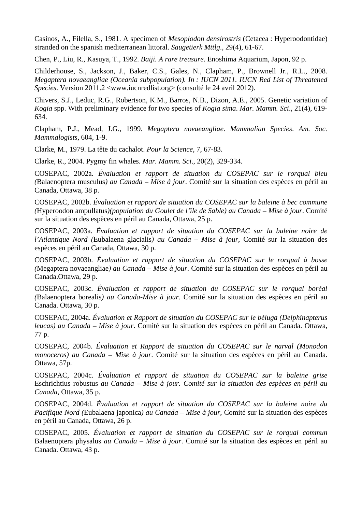Casinos, A., Filella, S., 1981. A specimen of *Mesoplodon densirostris* (Cetacea : Hyperoodontidae) stranded on the spanish mediterranean littoral. *Saugetierk Mttlg*., 29(4), 61-67.

Chen, P., Liu, R., Kasuya, T., 1992. *Baiji. A rare treasure*. Enoshima Aquarium, Japon, 92 p.

Childerhouse, S., Jackson, J., Baker, C.S., Gales, N., Clapham, P., Brownell Jr., R.L., 2008. *Megaptera novaeangliae (Oceania subpopulation). In : IUCN 2011. IUCN Red List of Threatened Species*. Version 2011.2 <www.iucnredlist.org> (consulté le 24 avril 2012).

Chivers, S.J., Leduc, R.G., Robertson, K.M., Barros, N.B., Dizon, A.E., 2005. Genetic variation of *Kogia* spp. With preliminary evidence for two species of *Kogia sima*. *Mar. Mamm. Sci*., 21(4), 619- 634.

Clapham, P.J., Mead, J.G., 1999. *Megaptera novaeangliae*. *Mammalian Species*. *Am. Soc. Mammalogists*, 604, 1-9.

Clarke, M., 1979. La tête du cachalot. *Pour la Science*, 7, 67-83.

Clarke, R., 2004. Pygmy fin whales. *Mar. Mamm. Sci*., 20(2), 329-334.

COSEPAC, 2002a. *Évaluation et rapport de situation du COSEPAC sur le rorqual bleu (*Balaenoptera musculus*) au Canada – Mise à jour*. Comité sur la situation des espèces en péril au Canada, Ottawa, 38 p.

COSEPAC, 2002b. *Évaluation et rapport de situation du COSEPAC sur la baleine à bec commune (*Hyperoodon ampullatus*)(population du Goulet de l'île de Sable) au Canada – Mise à jour*. Comité sur la situation des espèces en péril au Canada, Ottawa, 25 p.

COSEPAC, 2003a. *Évaluation et rapport de situation du COSEPAC sur la baleine noire de l'Atlantique Nord (*Eubalaena glacialis*) au Canada* – *Mise à jour*, Comité sur la situation des espèces en péril au Canada, Ottawa, 30 p.

COSEPAC, 2003b. *Évaluation et rapport de situation du COSEPAC sur le rorqual à bosse (*Megaptera novaeangliae*) au Canada – Mise à jour*. Comité sur la situation des espèces en péril au Canada.Ottawa, 29 p.

COSEPAC, 2003c. *Évaluation et rapport de situation du COSEPAC sur le rorqual boréal (*Balaenoptera borealis*) au Canada-Mise à jour*. Comité sur la situation des espèces en péril au Canada. Ottawa, 30 p.

COSEPAC, 2004a. *Évaluation et Rapport de situation du COSEPAC sur le béluga (Delphinapterus leucas) au Canada – Mise à jour*. Comité sur la situation des espèces en péril au Canada. Ottawa, 77 p.

COSEPAC, 2004b. *Évaluation et Rapport de situation du COSEPAC sur le narval (Monodon monoceros) au Canada – Mise à jour*. Comité sur la situation des espèces en péril au Canada. Ottawa, 57p.

COSEPAC, 2004c. *Évaluation et rapport de situation du COSEPAC sur la baleine grise*  Eschrichtius robustus *au Canada – Mise à jour. Comité sur la situation des espèces en péril au Canada*, Ottawa, 35 p.

COSEPAC, 2004d. *Évaluation et rapport de situation du COSEPAC sur la baleine noire du Pacifique Nord (*Eubalaena japonica*) au Canada* – *Mise à jour*, Comité sur la situation des espèces en péril au Canada, Ottawa, 26 p.

COSEPAC, 2005. *Évaluation et rapport de situation du COSEPAC sur le rorqual commun*  Balaenoptera physalus *au Canada – Mise à jour*. Comité sur la situation des espèces en péril au Canada. Ottawa, 43 p.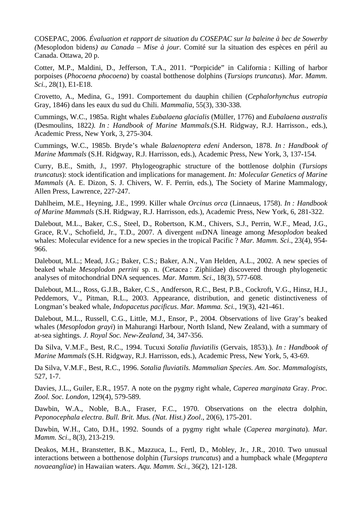COSEPAC, 2006. *Évaluation et rapport de situation du COSEPAC sur la baleine à bec de Sowerby (*Mesoplodon bidens*) au Canada – Mise à jour*. Comité sur la situation des espèces en péril au Canada. Ottawa, 20 p.

Cotter, M.P., Maldini, D., Jefferson, T.A., 2011. "Porpicide" in California : Killing of harbor porpoises (*Phocoena phocoena*) by coastal botthenose dolphins (*Tursiops truncatus*). *Mar. Mamm. Sci.*, 28(1), E1-E18.

Crovetto, A., Medina, G., 1991. Comportement du dauphin chilien (*Cephalorhynchus eutropia* Gray, 1846) dans les eaux du sud du Chili. *Mammalia*, 55(3), 330-338.

Cummings, W.C., 1985a. Right whales *Eubalaena glacialis* (Müller, 1776) and *Eubalaena australis* (Desmoulins, 1822*). In : Handbook of Marine Mammals*.(S.H. Ridgway, R.J. Harrisson., eds.), Academic Press, New York, 3, 275-304.

Cummings, W.C., 1985b. Bryde's whale *Balaenoptera edeni* Anderson, 1878. *In : Handbook of Marine Mammals* (S.H. Ridgway, R.J. Harrisson, eds.), Academic Press, New York, 3, 137-154.

Curry, B.E., Smith, J., 1997. Phylogeographic structure of the bottlenose dolphin (*Tursiops truncatus*): stock identification and implications for management. *In: Molecular Genetics of Marine Mammals* (A. E. Dizon, S. J. Chivers, W. F. Perrin, eds.), The Society of Marine Mammalogy, Allen Press, Lawrence, 227-247.

Dahlheim, M.E., Heyning, J.E., 1999. Killer whale *Orcinus orca* (Linnaeus, 1758). *In : Handbook of Marine Mammals* (S.H. Ridgway, R.J. Harrisson, eds.), Academic Press, New York, 6, 281-322.

Dalebout, M.L., Baker, C.S., Steel, D., Robertson, K.M., Chivers, S.J., Perrin, W.F., Mead, J.G., Grace, R.V., Schofield, Jr., T.D., 2007. A divergent mtDNA lineage among *Mesoplodon* beaked whales: Molecular evidence for a new species in the tropical Pacific ? *Mar. Mamm. Sci*., 23(4), 954- 966.

Dalebout, M.L.; Mead, J.G.; Baker, C.S.; Baker, A.N., Van Helden, A.L., 2002. A new species of beaked whale *Mesoplodon perrini* sp. n. (Cetacea : Ziphiidae) discovered through phylogenetic analyses of mitochondrial DNA sequences. *Mar. Mamm. Sci*., 18(3), 577-608.

Dalebout, M.L., Ross, G.J.B., Baker, C.S., Andferson, R.C., Best, P.B., Cockroft, V.G., Hinsz, H.J., Peddemors, V., Pitman, R.L., 2003. Appearance, distribution, and genetic distinctiveness of Longman's beaked whale, *Indopacetus pacificus*. *Mar. Mamma. Sci.,* 19(3), 421-461.

Dalebout, M.L., Russell, C.G., Little, M.J., Ensor, P., 2004. Observations of live Gray's beaked whales (*Mesoplodon grayi*) in Mahurangi Harbour, North Island, New Zealand, with a summary of at-sea sightings. *J. Royal Soc. New-Zealand*, 34, 347-356.

Da Silva, V.M.F., Best, R.C., 1994. Tucuxi *Sotalia fluviatilis* (Gervais, 1853).). *In : Handbook of Marine Mammals* (S.H. Ridgway, R.J. Harrisson, eds.), Academic Press, New York, 5, 43-69.

Da Silva, V.M.F., Best, R.C., 1996. *Sotalia fluviatils. Mammalian Species. Am. Soc. Mammalogists*, 527, 1-7.

Davies, J.L., Guiler, E.R., 1957. A note on the pygmy right whale, *Caperea marginata* Gray. *Proc. Zool. Soc. London*, 129(4), 579-589.

Dawbin, W.A., Noble, B.A., Fraser, F.C., 1970. Observations on the electra dolphin, *Peponocephala electra*. *Bull. Brit. Mus. (Nat. Hist.) Zool*., 20(6), 175-201.

Dawbin, W.H., Cato, D.H., 1992. Sounds of a pygmy right whale (*Caperea marginata*). *Mar. Mamm. Sci*., 8(3), 213-219.

Deakos, M.H., Branstetter, B.K., Mazzuca, L., Fertl, D., Mobley, Jr., J.R., 2010. Two unusual interactions between a botthenose dolphin (*Tursiops truncatus*) and a humpback whale (*Megaptera novaeangliae*) in Hawaiian waters. *Aqu. Mamm. Sci*., 36(2), 121-128.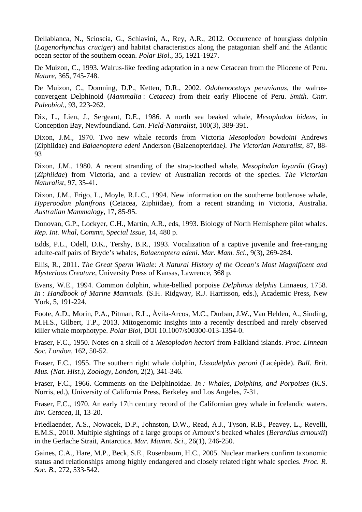Dellabianca, N., Scioscia, G., Schiavini, A., Rey, A.R., 2012. Occurrence of hourglass dolphin (*Lagenorhynchus cruciger*) and habitat characteristics along the patagonian shelf and the Atlantic ocean sector of the southern ocean. *Polar Biol*., 35, 1921-1927.

De Muizon, C., 1993. Walrus-like feeding adaptation in a new Cetacean from the Pliocene of Peru. *Nature*, 365, 745-748.

De Muizon, C., Domning, D.P., Ketten, D.R., 2002. *Odobenocetops peruvianus*, the walrusconvergent Delphinoid (*Mammalia* : *Cetacea*) from their early Pliocene of Peru. *Smith. Cntr. Paleobiol.*, 93, 223-262.

Dix, L., Lien, J., Sergeant, D.E., 1986. A north sea beaked whale, *Mesoplodon bidens*, in Conception Bay, Newfoundland. *Can. Field-Naturalist*, 100(3), 389-391.

Dixon, J.M., 1970. Two new whale records from Victoria *Mesoplodon bowdoini* Andrews (Ziphiidae) and *Balaenoptera edeni* Anderson (Balaenopteridae*). The Victorian Naturalist*, 87, 88- 93

Dixon, J.M., 1980. A recent stranding of the strap-toothed whale, *Mesoplodon layardii* (Gray) (*Ziphiidae*) from Victoria, and a review of Australian records of the species. *The Victorian Naturalist,* 97, 35-41.

Dixon, J.M., Frigo, L., Moyle, R.L.C., 1994. New information on the southerne bottlenose whale, *Hyperoodon planifrons* (Cetacea, Ziphiidae), from a recent stranding in Victoria, Australia. *Australian Mammalogy*, 17, 85-95.

Donovan, G.P., Lockyer, C.H., Martin, A.R., eds, 1993. Biology of North Hemisphere pilot whales. *Rep. Int. Whal, Commn, Special Issue*, 14, 480 p.

Edds, P.L., Odell, D.K., Tershy, B.R., 1993. Vocalization of a captive juvenile and free-ranging adulte-calf pairs of Bryde's whales, *Balaenoptera edeni*. *Mar. Mam. Sci*., 9(3), 269-284.

Ellis, R., 2011. *The Great Sperm Whale: A Natural History of the Ocean's Most Magnificent and Mysterious Creature,* University Press of Kansas, Lawrence, 368 p.

Evans, W.E., 1994. Common dolphin, white-bellied porpoise *Delphinus delphis* Linnaeus, 1758. *In : Handbook of Marine Mammals*. (S.H. Ridgway, R.J. Harrisson, eds.), Academic Press, New York, 5, 191-224.

Foote, A.D., Morin, P.A., Pitman, R.L., Àvila-Arcos, M.C., Durban, J.W., Van Helden, A., Sinding, M.H.S., Gilbert, T.P., 2013. Mitogenomic insights into a recently described and rarely observed killer whale morphotype. *Polar Biol*, DOI 10.1007/s00300-013-1354-0.

Fraser, F.C., 1950. Notes on a skull of a *Mesoplodon hectori* from Falkland islands. *Proc. Linnean Soc. London*, 162, 50-52.

Fraser, F.C., 1955. The southern right whale dolphin, *Lissodelphis peroni* (Lacépède). *Bull. Brit. Mus. (Nat. Hist.), Zoology, London*, 2(2), 341-346.

Fraser, F.C., 1966. Comments on the Delphinoidae. *In : Whales, Dolphins, and Porpoises* (K.S. Norris, ed.), University of California Press, Berkeley and Los Angeles, 7-31.

Fraser, F.C., 1970. An early 17th century record of the Californian grey whale in Icelandic waters. *Inv. Cetacea*, II, 13-20.

Friedlaender, A.S., Nowacek, D.P., Johnston, D.W., Read, A.J., Tyson, R.B., Peavey, L., Revelli, E.M.S., 2010. Multiple sightings of a large groups of Arnoux's beaked whales (*Berardius arnouxii*) in the Gerlache Strait, Antarctica. *Mar. Mamm. Sci*., 26(1), 246-250.

Gaines, C.A., Hare, M.P., Beck, S.E., Rosenbaum, H.C., 2005. Nuclear markers confirm taxonomic status and relationships among highly endangered and closely related right whale species. *Proc. R. Soc. B*., 272, 533-542.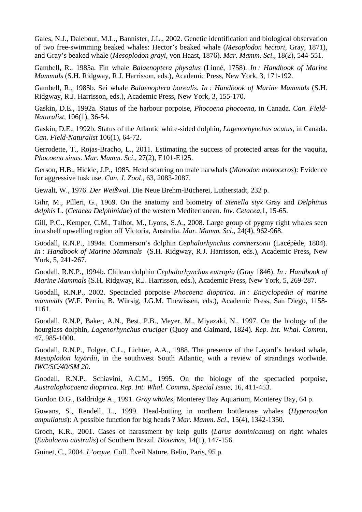Gales, N.J., Dalebout, M.L., Bannister, J.L., 2002. Genetic identification and biological observation of two free-swimming beaked whales: Hector's beaked whale (*Mesoplodon hectori*, Gray, 1871), and Gray's beaked whale (*Mesoplodon grayi*, von Haast, 1876). *Mar. Mamm. Sci*., 18(2), 544-551.

Gambell, R., 1985a. Fin whale *Balaenoptera physalus* (Linné, 1758). *In : Handbook of Marine Mammals* (S.H. Ridgway, R.J. Harrisson, eds.), Academic Press, New York, 3, 171-192.

Gambell, R., 1985b. Sei whale *Balaenoptera borealis. In : Handbook of Marine Mammals* (S.H. Ridgway, R.J. Harrisson, eds.), Academic Press, New York, 3, 155-170.

Gaskin, D.E., 1992a. Status of the harbour porpoise, *Phocoena phocoena*, in Canada. *Can. Field-Naturalist*, 106(1), 36-54.

Gaskin, D.E., 1992b. Status of the Atlantic white-sided dolphin, *Lagenorhynchus acutus*, in Canada. *Can. Field-Naturalist* 106(1), 64-72.

Gerrodette, T., Rojas-Bracho, L., 2011. Estimating the success of protected areas for the vaquita*, Phocoena sinus*. *Mar. Mamm. Sci*., 27(2), E101-E125.

Gerson, H.B., Hickie, J.P., 1985. Head scarring on male narwhals (*Monodon monoceros*): Evidence for aggressive tusk use. *Can. J. Zool*., 63, 2083-2087.

Gewalt, W., 1976. *Der Weißwal.* Die Neue Brehm-Bücherei, Lutherstadt, 232 p.

Gihr, M., Pilleri, G., 1969. On the anatomy and biometry of *Stenella styx* Gray and *Delphinus delphis* L. (*Cetacea Delphinidae*) of the western Mediterranean. *Inv. Cetacea*,1, 15-65.

Gill, P.C., Kemper, C.M., Talbot, M., Lyons, S.A., 2008. Large group of pygmy right whales seen in a shelf upwelling region off Victoria, Australia. *Mar. Mamm. Sci*., 24(4), 962-968.

Goodall, R.N.P., 1994a. Commerson's dolphin *Cephalorhynchus commersonii* (Lacépède, 1804). *In : Handbook of Marine Mammals* (S.H. Ridgway, R.J. Harrisson, eds.), Academic Press, New York, 5, 241-267.

Goodall, R.N.P., 1994b. Chilean dolphin *Cephalorhynchus eutropia* (Gray 1846). *In : Handbook of Marine Mammals* (S.H. Ridgway, R.J. Harrisson, eds.), Academic Press, New York, 5, 269-287.

Goodall, R.N.P., 2002. Spectacled porpoise *Phocoena dioptrica*. *In : Encyclopedia of marine mammals* (W.F. Perrin, B. Würsig, J.G.M. Thewissen, eds.), Academic Press, San Diego, 1158- 1161.

Goodall, R.N.P, Baker, A.N., Best, P.B., Meyer, M., Miyazaki, N., 1997. On the biology of the hourglass dolphin, *Lagenorhynchus cruciger* (Quoy and Gaimard, 1824). *Rep. Int. Whal. Commn*, 47, 985-1000.

Goodall, R.N.P., Folger, C.L., Lichter, A.A., 1988. The presence of the Layard's beaked whale, *Mesoplodon layardii*, in the southwest South Atlantic, with a review of strandings worlwide. *IWC/SC/40/SM 20*.

Goodall, R.N.P., Schiavini, A.C.M., 1995. On the biology of the spectacled porpoise, *Australophocaena dioptrica*. *Rep. Int. Whal. Commn, Special Issue*, 16, 411-453.

Gordon D.G., Baldridge A., 1991. *Gray whales,* Monterey Bay Aquarium, Monterey Bay, 64 p.

Gowans, S., Rendell, L., 1999. Head-butting in northern bottlenose whales (*Hyperoodon ampullatus*): A possible function for big heads ? *Mar. Mamm. Sci*., 15(4), 1342-1350.

Groch, K.R., 2001. Cases of harassment by kelp gulls (*Larus dominicanus*) on right whales (*Eubalaena australis*) of Southern Brazil. *Biotemas,* 14(1), 147-156.

Guinet, C., 2004. *L'orque*. Coll. Éveil Nature, Belin, Paris, 95 p.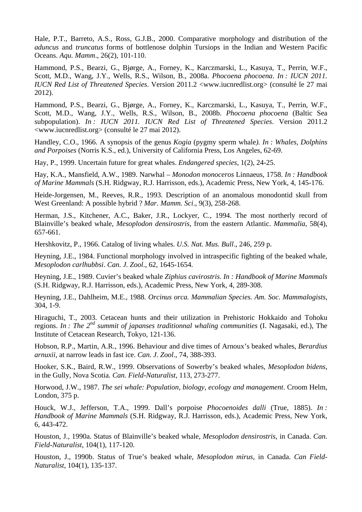Hale, P.T., Barreto, A.S., Ross, G.J.B., 2000. Comparative morphology and distribution of the *aduncus* and *truncatus* forms of bottlenose dolphin Tursiops in the Indian and Western Pacific Oceans. *Aqu. Mamm*., 26(2), 101-110.

Hammond, P.S., Bearzi, G., Bjørge, A., Forney, K., Karczmarski, L., Kasuya, T., Perrin, W.F., Scott, M.D., Wang, J.Y., Wells, R.S., Wilson, B., 2008a. *Phocoena phocoena*. *In : IUCN 2011. IUCN Red List of Threatened Species*. Version 2011.2 <www.iucnredlist.org> (consulté le 27 mai 2012).

Hammond, P.S., Bearzi, G., Bjørge, A., Forney, K., Karczmarski, L., Kasuya, T., Perrin, W.F., Scott, M.D., Wang, J.Y., Wells, R.S., Wilson, B., 2008b. *Phocoena phocoena* (Baltic Sea subpopulation). *In : IUCN 2011. IUCN Red List of Threatened Species*. Version 2011.2 <www.iucnredlist.org> (consulté le 27 mai 2012).

Handley, C.O., 1966. A synopsis of the genus *Kogia* (pygmy sperm whale*). In : Whales, Dolphins and Porpoises* (Norris K.S., ed.), University of California Press, Los Angeles, 62-69.

Hay, P., 1999. Uncertain future for great whales. *Endangered species*, 1(2), 24-25.

Hay, K.A., Mansfield, A.W., 1989. Narwhal – *Monodon monoceros* Linnaeus, 1758. *In : Handbook of Marine Mammals* (S.H. Ridgway, R.J. Harrisson, eds.), Academic Press, New York, 4, 145-176.

Heide-Jorgensen, M., Reeves, R.R., 1993. Description of an anomalous monodontid skull from West Greenland: A possible hybrid ? *Mar. Mamm. Sci*., 9(3), 258-268.

Herman, J.S., Kitchener, A.C., Baker, J.R., Lockyer, C., 1994. The most northerly record of Blainville's beaked whale, *Mesoplodon densirostris*, from the eastern Atlantic. *Mammalia*, 58(4), 657-661.

Hershkovitz, P., 1966. Catalog of living whales. *U.S. Nat. Mus. Bull*., 246, 259 p.

Heyning, J.E., 1984. Functional morphology involved in intraspecific fighting of the beaked whale, *Mesoplodon carlhubbsi*. *Can. J. Zool*., 62, 1645-1654.

Heyning, J.E., 1989. Cuvier's beaked whale *Ziphius cavirostris*. *In : Handbook of Marine Mammals*  (S.H. Ridgway, R.J. Harrisson, eds.), Academic Press, New York, 4, 289-308.

Heyning, J.E., Dahlheim, M.E., 1988. *Orcinus orca. Mammalian Species. Am. Soc. Mammalogists*, 304, 1-9.

Hiraguchi, T., 2003. Cetacean hunts and their utilization in Prehistoric Hokkaido and Tohoku regions. *In : The 2nd summit of japanses traditionnal whaling communities* (I. Nagasaki, ed.), The Institute of Cetacean Research, Tokyo, 121-136.

Hobson, R.P., Martin, A.R., 1996. Behaviour and dive times of Arnoux's beaked whales, *Berardius arnuxii*, at narrow leads in fast ice. *Can. J. Zool*., 74, 388-393.

Hooker, S.K., Baird, R.W., 1999. Observations of Sowerby's beaked whales, *Mesoplodon bidens*, in the Gully, Nova Scotia*. Can. Field-Naturalist*, 113, 273-277.

Horwood, J.W., 1987. *The sei whale: Population, biology, ecology and management*. Croom Helm, London, 375 p.

Houck, W.J., Jefferson, T.A., 1999. Dall's porpoise *Phocoenoides dalli* (True, 1885). *In : Handbook of Marine Mammals* (S.H. Ridgway, R.J. Harrisson, eds.), Academic Press, New York, 6, 443-472.

Houston, J., 1990a. Status of Blainville's beaked whale, *Mesoplodon densirostris*, in Canada. *Can. Field-Naturalist*, 104(1), 117-120.

Houston, J., 1990b. Status of True's beaked whale, *Mesoplodon mirus*, in Canada. *Can Field-Naturalist*, 104(1), 135-137.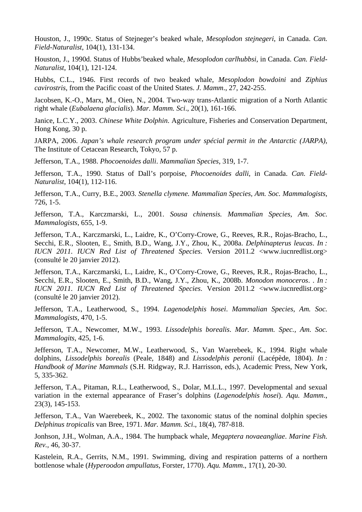Houston, J., 1990c. Status of Stejneger's beaked whale, *Mesoplodon stejnegeri*, in Canada. *Can. Field-Naturalist*, 104(1), 131-134.

Houston, J., 1990d. Status of Hubbs'beaked whale*, Mesoplodon carlhubbsi*, in Canada. *Can. Field-Naturalist*, 104(1), 121-124.

Hubbs, C.L., 1946. First records of two beaked whale, *Mesoplodon bowdoini* and *Ziphius cavirostris*, from the Pacific coast of the United States. *J. Mamm*., 27, 242-255.

Jacobsen, K.-O., Marx, M., Oien, N., 2004. Two-way trans-Atlantic migration of a North Atlantic right whale (*Eubalaena glacialis*). *Mar. Mamm. Sci*., 20(1), 161-166.

Janice, L.C.Y., 2003. *Chinese White Dolphin*. Agriculture, Fisheries and Conservation Department, Hong Kong, 30 p.

JARPA, 2006. *Japan's whale research program under spécial permit in the Antarctic (JARPA),* The Institute of Cetacean Research, Tokyo, 57 p.

Jefferson, T.A., 1988. *Phocoenoides dalli*. *Mammalian Species*, 319, 1-7.

Jefferson, T.A., 1990. Status of Dall's porpoise, *Phocoenoides dalli*, in Canada. *Can. Field-Naturalist*, 104(1), 112-116.

Jefferson, T.A., Curry, B.E., 2003. *Stenella clymene. Mammalian Species, Am. Soc. Mammalogists*, 726, 1-5.

Jefferson, T.A., Karczmarski, L., 2001. *Sousa chinensis. Mammalian Species, Am. Soc. Mammalogists*, 655, 1-9.

Jefferson, T.A., Karczmarski, L., Laidre, K., O'Corry-Crowe, G., Reeves, R.R., Rojas-Bracho, L., Secchi, E.R., Slooten, E., Smith, B.D., Wang, J.Y., Zhou, K., 2008a. *Delphinapterus leucas*. *In : IUCN 2011. IUCN Red List of Threatened Species*. Version 2011.2 <www.iucnredlist.org> (consulté le 20 janvier 2012).

Jefferson, T.A., Karczmarski, L., Laidre, K., O'Corry-Crowe, G., Reeves, R.R., Rojas-Bracho, L., Secchi, E.R., Slooten, E., Smith, B.D., Wang, J.Y., Zhou, K., 2008b. *Monodon monoceros*. . *In : IUCN 2011. IUCN Red List of Threatened Species*. Version 2011.2 <www.iucnredlist.org> (consulté le 20 janvier 2012).

Jefferson, T.A., Leatherwood, S., 1994. *Lagenodelphis hosei*. *Mammalian Species, Am. Soc. Mammalogists*, 470, 1-5.

Jefferson, T.A., Newcomer, M.W., 1993. *Lissodelphis borealis*. *Mar. Mamm. Spec., Am. Soc. Mammalogits*, 425, 1-6.

Jefferson, T.A., Newcomer, M.W., Leatherwood, S., Van Waerebeek, K., 1994. Right whale dolphins, *Lissodelphis borealis* (Peale, 1848) and *Lissodelphis peronii* (Lacépède, 1804). *In : Handbook of Marine Mammals* (S.H. Ridgway, R.J. Harrisson, eds.), Academic Press, New York, 5, 335-362.

Jefferson, T.A., Pitaman, R.L., Leatherwood, S., Dolar, M.L.L., 1997. Developmental and sexual variation in the external appearance of Fraser's dolphins (*Lagenodelphis hosei*). *Aqu. Mamm*., 23(3), 145-153.

Jefferson, T.A., Van Waerebeek, K., 2002. The taxonomic status of the nominal dolphin species *Delphinus tropicalis* van Bree, 1971. *Mar. Mamm. Sci*., 18(4), 787-818.

Jonhson, J.H., Wolman, A.A., 1984. The humpback whale, *Megaptera novaeangliae*. *Marine Fish. Rev.*, 46, 30-37.

Kastelein, R.A., Gerrits, N.M., 1991. Swimming, diving and respiration patterns of a northern bottlenose whale (*Hyperoodon ampullatus*, Forster, 1770). *Aqu. Mamm*., 17(1), 20-30.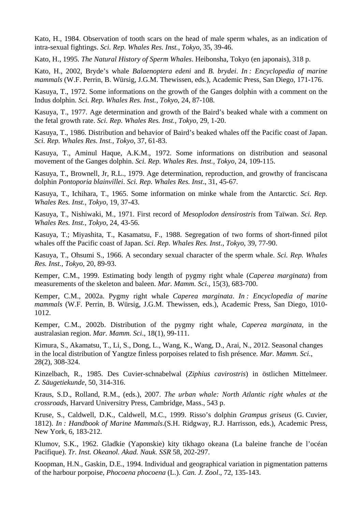Kato, H., 1984. Observation of tooth scars on the head of male sperm whales, as an indication of intra-sexual fightings. *Sci. Rep. Whales Res. Inst., Tokyo*, 35, 39-46.

Kato, H., 1995. *The Natural History of Sperm Whales*. Heibonsha, Tokyo (en japonais), 318 p.

Kato, H., 2002, Bryde's whale *Balaenoptera edeni* and *B. brydei*. *In : Encyclopedia of marine mammals* (W.F. Perrin, B. Würsig, J.G.M. Thewissen, eds.), Academic Press, San Diego, 171-176.

Kasuya, T., 1972. Some informations on the growth of the Ganges dolphin with a comment on the Indus dolphin. *Sci. Rep. Whales Res. Inst., Tokyo*, 24, 87-108.

Kasuya, T., 1977. Age determination and growth of the Baird's beaked whale with a comment on the fetal growth rate. *Sci. Rep. Whales Res. Inst., Tokyo*, 29, 1-20.

Kasuya, T., 1986. Distribution and behavior of Baird's beaked whales off the Pacific coast of Japan. *Sci. Rep. Whales Res. Inst., Tokyo*, 37, 61-83.

Kasuya, T., Aminul Haque, A.K.M., 1972. Some informations on distribution and seasonal movement of the Ganges dolphin. *Sci. Rep. Whales Res. Inst., Tokyo*, 24, 109-115.

Kasuya, T., Brownell, Jr, R.L., 1979. Age determination, reproduction, and growthy of franciscana dolphin *Pontoporia blainvillei*. *Sci. Rep. Whales Res. Inst*., 31, 45-67.

Kasuya, T., Ichihara, T., 1965. Some information on minke whale from the Antarctic. *Sci. Rep. Whales Res. Inst., Tokyo*, 19, 37-43.

Kasuya, T., Nishiwaki, M., 1971. First record of *Mesoplodon densirostris* from Taïwan. *Sci. Rep. Whales Res. Inst., Tokyo*, 24, 43-56.

Kasuya, T.; Miyashita, T., Kasamatsu, F., 1988. Segregation of two forms of short-finned pilot whales off the Pacific coast of Japan. *Sci. Rep. Whales Res. Inst*., *Tokyo*, 39, 77-90.

Kasuya, T., Ohsumi S., 1966. A secondary sexual character of the sperm whale. *Sci. Rep. Whales Res. Inst., Tokyo*, 20, 89-93.

Kemper, C.M., 1999. Estimating body length of pygmy right whale (*Caperea marginata*) from measurements of the skeleton and baleen. *Mar. Mamm. Sci*., 15(3), 683-700.

Kemper, C.M., 2002a. Pygmy right whale *Caperea marginata*. *In : Encyclopedia of marine mammals* (W.F. Perrin, B. Würsig, J.G.M. Thewissen, eds.), Academic Press, San Diego, 1010- 1012.

Kemper, C.M., 2002b. Distribution of the pygmy right whale, *Caperea marginata*, in the australasian region. *Mar. Mamm. Sci*., 18(1), 99-111.

Kimura, S., Akamatsu, T., Li, S., Dong, L., Wang, K., Wang, D., Arai, N., 2012. Seasonal changes in the local distribution of Yangtze finless porpoises related to fish présence*. Mar. Mamm. Sci.*, 28(2), 308-324.

Kinzelbach, R., 1985. Des Cuvier-schnabelwal (*Ziphius cavirostris*) in östlichen Mittelmeer*. Z. Säugetiekunde*, 50, 314-316.

Kraus, S.D., Rolland, R.M., (eds.), 2007. *The urban whale: North Atlantic right whales at the crossroad*s, Harvard Universitry Press, Cambridge, Mass., 543 p.

Kruse, S., Caldwell, D.K., Caldwell, M.C., 1999. Risso's dolphin *Grampus griseus* (G. Cuvier, 1812). *In : Handbook of Marine Mammals*.(S.H. Ridgway, R.J. Harrisson, eds.), Academic Press, New York, 6, 183-212.

Klumov, S.K., 1962. Gladkie (Yaponskie) kity tikhago okeana (La baleine franche de l'océan Pacifique). *Tr. Inst. Okeanol. Akad. Nauk. SSR* 58, 202-297.

Koopman, H.N., Gaskin, D.E., 1994. Individual and geographical variation in pigmentation patterns of the harbour porpoise, *Phocoena phocoena* (L.). *Can. J. Zool*., 72, 135-143.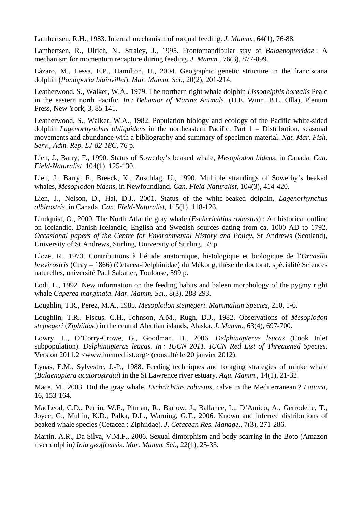Lambertsen, R.H., 1983. Internal mechanism of rorqual feeding. *J. Mamm.,* 64(1), 76-88.

Lambertsen, R., Ulrich, N., Straley, J., 1995. Frontomandibular stay of *Balaenopteridae* : A mechanism for momentum recapture during feeding. *J. Mamm*., 76(3), 877-899.

Làzaro, M., Lessa, E.P., Hamilton, H., 2004. Geographic genetic structure in the franciscana dolphin (*Pontoporia blainvillei*). *Mar. Mamm. Sci*., 20(2), 201-214.

Leatherwood, S., Walker, W.A., 1979. The northern right whale dolphin *Lissodelphis borealis* Peale in the eastern north Pacific. *In : Behavior of Marine Animals*. (H.E. Winn, B.L. Olla), Plenum Press, New York, 3, 85-141.

Leatherwood, S., Walker, W.A., 1982. Population biology and ecology of the Pacific white-sided dolphin *Lagenorhynchus obliquidens* in the northeastern Pacific. Part 1 – Distribution, seasonal movements and abundance with a bibliography and summary of specimen material. *Nat. Mar. Fish. Serv., Adm. Rep. LJ-82-18C*, 76 p.

Lien, J., Barry, F., 1990. Status of Sowerby's beaked whale, *Mesoplodon bidens*, in Canada. *Can. Field-Naturalist*, 104(1), 125-130.

Lien, J., Barry, F., Breeck, K., Zuschlag, U., 1990. Multiple strandings of Sowerby's beaked whales, *Mesoplodon bidens*, in Newfoundland. *Can. Field-Naturalist*, 104(3), 414-420.

Lien, J., Nelson, D., Hai, D.J., 2001. Status of the white-beaked dolphin, *Lagenorhynchus albirostris*, in Canada. *Can. Field-Naturalist*, 115(1), 118-126.

Lindquist, O., 2000. The North Atlantic gray whale (*Escherichtius robustus*) : An historical outline on Icelandic, Danish-Icelandic, English and Swedish sources dating from ca. 1000 AD to 1792. *Occasional papers of the Centre for Environmental History and Policy*, St Andrews (Scotland), University of St Andrews, Stirling, University of Stirling, 53 p.

Lloze, R., 1973. Contributions à l'étude anatomique, histologique et biologique de l'*Orcaella brevirostris* (Gray – 1866) (Cetacea-Delphinidae) du Mékong, thèse de doctorat, spécialité Sciences naturelles, université Paul Sabatier, Toulouse, 599 p.

Lodi, L., 1992. New information on the feeding habits and baleen morphology of the pygmy right whale *Caperea marginata*. *Mar. Mamm. Sci*., 8(3), 288-293.

Loughlin, T.R., Perez, M.A., 1985. *Mesoplodon stejnegeri*. *Mammalian Species*, 250, 1-6.

Loughlin, T.R., Fiscus, C.H., Johnson, A.M., Rugh, D.J., 1982. Observations of *Mesoplodon stejnegeri* (*Ziphiidae*) in the central Aleutian islands, Alaska. *J. Mamm*., 63(4), 697-700.

Lowry, L., O'Corry-Crowe, G., Goodman, D., 2006. *Delphinapterus leucas* (Cook Inlet subpopulation). *Delphinapterus leucas*. *In : IUCN 2011. IUCN Red List of Threatened Species*. Version 2011.2 <www.iucnredlist.org> (consulté le 20 janvier 2012).

Lynas, E.M., Sylvestre, J.-P., 1988. Feeding techniques and foraging strategies of minke whale (*Balaenoptera acutorostrata*) in the St Lawrence river estuary. *Aqu. Mamm*., 14(1), 21-32.

Mace, M., 2003. Did the gray whale, *Eschrichtius robustus*, calve in the Mediterranean ? *Lattara*, 16, 153-164.

MacLeod, C.D., Perrin, W.F., Pitman, R., Barlow, J., Ballance, L., D'Amico, A., Gerrodette, T., Joyce, G., Mullin, K.D., Palka, D.L., Warning, G.T., 2006. Known and inferred distributions of beaked whale species (Cetacea : Ziphiidae). *J. Cetacean Res. Manage*., 7(3), 271-286.

Martin, A.R., Da Silva, V.M.F., 2006. Sexual dimorphism and body scarring in the Boto (Amazon river dolphin*) Inia geoffrensis*. *Mar. Mamm. Sci*., 22(1), 25-33.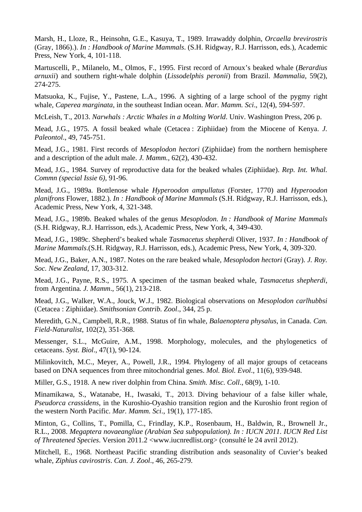Marsh, H., Lloze, R., Heinsohn, G.E., Kasuya, T., 1989. Irrawaddy dolphin, *Orcaella brevirostris* (Gray, 1866).). *In : Handbook of Marine Mammals*. (S.H. Ridgway, R.J. Harrisson, eds.), Academic Press, New York, 4, 101-118.

Martuscelli, P., Milanelo, M., Olmos, F., 1995. First record of Arnoux's beaked whale (*Berardius arnuxii*) and southern right-whale dolphin (*Lissodelphis peronii*) from Brazil. *Mammalia*, 59(2), 274-275.

Matsuoka, K., Fujise, Y., Pastene, L.A., 1996. A sighting of a large school of the pygmy right whale, *Caperea marginata*, in the southeast Indian ocean. *Mar. Mamm. Sci*., 12(4), 594-597.

McLeish, T., 2013. *Narwhals : Arctic Whales in a Molting World*. Univ. Washington Press, 206 p.

Mead, J.G., 1975. A fossil beaked whale (Cetacea : Ziphiidae) from the Miocene of Kenya. *J. Paleontol*., 49, 745-751.

Mead, J.G., 1981. First records of *Mesoplodon hectori* (Ziphiidae) from the northern hemisphere and a description of the adult male. *J. Mamm.,* 62(2), 430-432.

Mead, J.G., 1984. Survey of reproductive data for the beaked whales (Ziphiidae). *Rep. Int. Whal. Commn (special Issie 6),* 91-96.

Mead, J.G., 1989a. Bottlenose whale *Hyperoodon ampullatus* (Forster, 1770) and *Hyperoodon planifrons* Flower, 1882.). *In : Handbook of Marine Mammals* (S.H. Ridgway, R.J. Harrisson, eds.), Academic Press, New York, 4, 321-348.

Mead, J.G., 1989b. Beaked whales of the genus *Mesoplodon*. *In : Handbook of Marine Mammals*  (S.H. Ridgway, R.J. Harrisson, eds.), Academic Press, New York, 4, 349-430.

Mead, J.G., 1989c. Shepherd's beaked whale *Tasmacetus shepherdi* Oliver, 1937. *In : Handbook of Marine Mammals*.(S.H. Ridgway, R.J. Harrisson, eds.), Academic Press, New York, 4, 309-320.

Mead, J.G., Baker, A.N., 1987. Notes on the rare beaked whale, *Mesoplodon hectori* (Gray). *J. Roy. Soc. New Zealand*, 17, 303-312.

Mead, J.G., Payne, R.S., 1975. A specimen of the tasman beaked whale, *Tasmacetus shepherdi*, from Argentina*. J. Mamm*., 56(1), 213-218.

Mead, J.G., Walker, W.A., Jouck, W.J., 1982. Biological observations on *Mesoplodon carlhubbsi* (Cetacea : Ziphiidae). *Smithsonian Contrib. Zool*., 344, 25 p.

Meredith, G.N., Campbell, R.R., 1988. Status of fin whale, *Balaenoptera physalus*, in Canada. *Can. Field-Naturalist*, 102(2), 351-368.

Messenger, S.L., McGuire, A.M., 1998. Morphology, molecules, and the phylogenetics of cetaceans. *Syst. Biol*., 47(1), 90-124.

Milinkovitch, M.C., Meyer, A., Powell, J.R., 1994. Phylogeny of all major groups of cetaceans based on DNA sequences from three mitochondrial genes. *Mol. Biol. Evol*., 11(6), 939-948.

Miller, G.S., 1918. A new river dolphin from China*. Smith. Misc. Coll*., 68(9), 1-10.

Minamikawa, S., Watanabe, H., Iwasaki, T., 2013. Diving behaviour of a false killer whale, *Pseudorca crassidens*, in the Kuroshio-Oyashio transition region and the Kuroshio front region of the western North Pacific. *Mar. Mamm. Sci*., 19(1), 177-185.

Minton, G., Collins, T., Pomilla, C., Frindlay, K.P., Rosenbaum, H., Baldwin, R., Brownell Jr., R.L., 2008. *Megaptera novaeangliae (Arabian Sea subpopulation). In : IUCN 2011. IUCN Red List of Threatened Species*. Version 2011.2 <www.iucnredlist.org> (consulté le 24 avril 2012).

Mitchell, E., 1968. Northeast Pacific stranding distribution ands seasonality of Cuvier's beaked whale, *Ziphius cavirostris*. *Can. J. Zool*., 46, 265-279.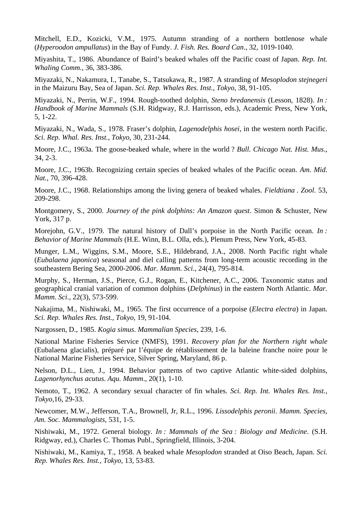Mitchell, E.D., Kozicki, V.M., 1975. Autumn stranding of a northern bottlenose whale (*Hyperoodon ampullatus*) in the Bay of Fundy. *J. Fish. Res. Board Can*., 32, 1019-1040.

Miyashita, T., 1986. Abundance of Baird's beaked whales off the Pacific coast of Japan. *Rep. Int. Whaling Comm.*, 36, 383-386.

Miyazaki, N., Nakamura, I., Tanabe, S., Tatsukawa, R., 1987. A stranding of *Mesoplodon stejnegeri* in the Maizuru Bay, Sea of Japan. *Sci. Rep. Whales Res. Inst., Tokyo*, 38, 91-105.

Miyazaki, N., Perrin, W.F., 1994. Rough-toothed dolphin, *Steno bredanensis* (Lesson, 1828). *In : Handbook of Marine Mammals* (S.H. Ridgway, R.J. Harrisson, eds.), Academic Press, New York, 5, 1-22.

Miyazaki, N., Wada, S., 1978. Fraser's dolphin, *Lagenodelphis hosei*, in the western north Pacific. *Sci. Rep. Whal. Res. Inst., Tokyo*, 30, 231-244.

Moore, J.C., 1963a. The goose-beaked whale, where in the world ? *Bull. Chicago Nat. Hist. Mus*., 34, 2-3.

Moore, J.C., 1963b. Recognizing certain species of beaked whales of the Pacific ocean. *Am. Mid. Nat.*, 70, 396-428.

Moore, J.C., 1968. Relationships among the living genera of beaked whales. *Fieldtiana* . *Zool*. 53, 209-298.

Montgomery, S., 2000. *Journey of the pink dolphins: An Amazon quest*. Simon & Schuster, New York, 317 p.

Morejohn, G.V., 1979. The natural history of Dall's porpoise in the North Pacific ocean. *In : Behavior of Marine Mammals* (H.E. Winn, B.L. Olla, eds.), Plenum Press, New York, 45-83.

Munger, L.M., Wiggins, S.M., Moore, S.E., Hildebrand, J.A., 2008. North Pacific right whale (*Eubalaena japonica*) seasonal and diel calling patterns from long-term acoustic recording in the southeastern Bering Sea, 2000-2006. *Mar. Mamm. Sci*., 24(4), 795-814.

Murphy, S., Herman, J.S., Pierce, G.J., Rogan, E., Kitchener, A.C., 2006. Taxonomic status and geographical cranial variation of common dolphins (*Delphinus*) in the eastern North Atlantic. *Mar. Mamm. Sci*., 22(3), 573-599.

Nakajima, M., Nishiwaki, M., 1965. The first occurrence of a porpoise (*Electra electra*) in Japan. *Sci. Rep. Whales Res. Inst., Tokyo*, 19, 91-104.

Nargossen, D., 1985. *Kogia simus*. *Mammalian Species*, 239, 1-6.

National Marine Fisheries Service (NMFS), 1991. *Recovery plan for the Northern right whale* (Eubalaena glacialis), préparé par l'équipe de rétablissement de la baleine franche noire pour le National Marine Fisheries Service, Silver Spring, Maryland, 86 p.

Nelson, D.L., Lien, J., 1994. Behavior patterns of two captive Atlantic white-sided dolphins*, Lagenorhynchus acutus*. *Aqu. Mamm*., 20(1), 1-10.

Nemoto, T., 1962. A secondary sexual character of fin whales. *Sci. Rep. Int. Whales Res. Inst., Tokyo*,16, 29-33.

Newcomer, M.W., Jefferson, T.A., Brownell, Jr, R.L., 1996. *Lissodelphis peronii*. *Mamm. Species, Am. Soc. Mammalogists*, 531, 1-5.

Nishiwaki, M., 1972. General biology*. In : Mammals of the Sea : Biology and Medicine*. (S.H. Ridgway, ed.), Charles C. Thomas Publ., Springfield, Illinois, 3-204.

Nishiwaki, M., Kamiya, T., 1958. A beaked whale *Mesoplodon* stranded at Oiso Beach, Japan. *Sci. Rep. Whales Res. Inst., Tokyo*, 13, 53-83.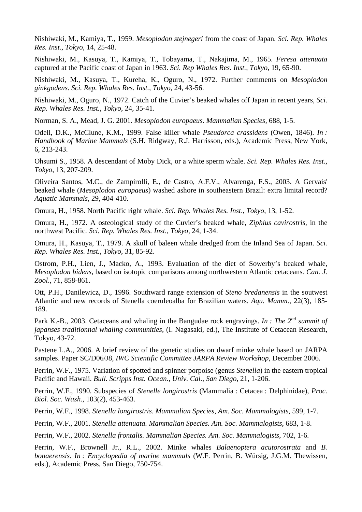Nishiwaki, M., Kamiya, T., 1959. *Mesoplodon stejnegeri* from the coast of Japan. *Sci. Rep. Whales Res. Inst., Tokyo*, 14, 25-48.

Nishiwaki, M., Kasuya, T., Kamiya, T., Tobayama, T., Nakajima, M., 1965. *Feresa attenuata* captured at the Pacific coast of Japan in 1963. *Sci. Rep Whales Res. Inst., Tokyo*, 19, 65-90.

Nishiwaki, M., Kasuya, T., Kureha, K., Oguro, N., 1972. Further comments on *Mesoplodon ginkgodens*. *Sci. Rep. Whales Res. Inst., Tokyo*, 24, 43-56.

Nishiwaki, M., Oguro, N., 1972. Catch of the Cuvier's beaked whales off Japan in recent years, *Sci. Rep. Whales Res. Inst., Tokyo*, 24, 35-41.

Norman, S. A., Mead, J. G. 2001. *Mesoplodon europaeus*. *Mammalian Species,* 688, 1-5.

Odell, D.K., McClune, K.M., 1999. False killer whale *Pseudorca crassidens* (Owen, 1846). *In : Handbook of Marine Mammals* (S.H. Ridgway, R.J. Harrisson, eds.), Academic Press, New York, 6, 213-243.

Ohsumi S., 1958. A descendant of Moby Dick, or a white sperm whale. *Sci. Rep. Whales Res. Inst., Tokyo*, 13, 207-209.

Oliveira Santos, M.C., de Zampirolli, E., de Castro, A.F.V., Alvarenga, F.S., 2003. A Gervais' beaked whale (*Mesoplodon europaeus*) washed ashore in southeastern Brazil: extra limital record? *Aquatic Mammals*, 29, 404-410.

Omura, H., 1958. North Pacific right whale. *Sci. Rep. Whales Res. Inst*., *Tokyo*, 13, 1-52.

Omura, H., 1972. A osteological study of the Cuvier's beaked whale, *Ziphius cavirostris*, in the northwest Pacific*. Sci. Rep. Whales Res. Inst., Tokyo*, 24, 1-34.

Omura, H., Kasuya, T., 1979. A skull of baleen whale dredged from the Inland Sea of Japan. *Sci. Rep. Whales Res. Inst., Tokyo*, 31, 85-92.

Ostrom, P.H., Lien, J., Macko, A., 1993. Evaluation of the diet of Sowerby's beaked whale, *Mesoplodon bidens*, based on isotopic comparisons among northwestern Atlantic cetaceans*. Can. J. Zool*., 71, 858-861.

Ott, P.H., Danilewicz, D., 1996. Southward range extension of *Steno bredanensis* in the soutwest Atlantic and new records of Stenella coeruleoalba for Brazilian waters. *Aqu. Mamm*., 22(3), 185- 189.

Park K.-B., 2003. Cetaceans and whaling in the Bangudae rock engravings. *In : The 2nd summit of japanses traditionnal whaling communities*, (I. Nagasaki, ed.), The Institute of Cetacean Research, Tokyo, 43-72.

Pastene L.A., 2006. A brief review of the genetic studies on dwarf minke whale based on JARPA samples. Paper SC/D06/J8, *IWC Scientific Committee JARPA Review Workshop*, December 2006.

Perrin, W.F., 1975. Variation of spotted and spinner porpoise (genus *Stenella*) in the eastern tropical Pacific and Hawaii. *Bull. Scripps Inst. Ocean., Univ. Cal., San Diego,* 21, 1-206.

Perrin, W.F., 1990. Subspecies of *Stenelle longirostris* (Mammalia : Cetacea : Delphinidae), *Proc. Biol. Soc. Wash*., 103(2), 453-463.

Perrin, W.F., 1998. *Stenella longirostris*. *Mammalian Species, Am. Soc. Mammalogists*, 599, 1-7.

Perrin, W.F., 2001. *Stenella attenuata. Mammalian Species. Am. Soc. Mammalogists*, 683, 1-8.

Perrin, W.F., 2002. *Stenella frontalis. Mammalian Species. Am. Soc. Mammalogists*, 702, 1-6.

Perrin, W.F., Brownell Jr., R.L., 2002. Minke whales *Balaenoptera acutorostrata* and *B. bonaerensis*. *In : Encyclopedia of marine mammals* (W.F. Perrin, B. Würsig, J.G.M. Thewissen, eds.), Academic Press, San Diego, 750-754.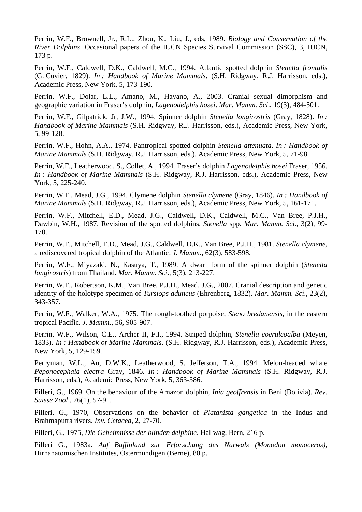Perrin, W.F., Brownell, Jr., R.L., Zhou, K., Liu, J., eds, 1989. *Biology and Conservation of the River Dolphins*. Occasional papers of the IUCN Species Survival Commission (SSC), 3, IUCN, 173 p.

Perrin, W.F., Caldwell, D.K., Caldwell, M.C., 1994. Atlantic spotted dolphin *Stenella frontalis* (G. Cuvier, 1829). *In : Handbook of Marine Mammals*. (S.H. Ridgway, R.J. Harrisson, eds.), Academic Press, New York, 5, 173-190.

Perrin, W.F., Dolar, L.L., Amano, M., Hayano, A., 2003. Cranial sexual dimorphism and geographic variation in Fraser's dolphin, *Lagenodelphis hosei*. *Mar. Mamm. Sci*., 19(3), 484-501.

Perrin, W.F., Gilpatrick, Jr, J.W., 1994. Spinner dolphin *Stenella longirostris* (Gray, 1828). *In : Handbook of Marine Mammals* (S.H. Ridgway, R.J. Harrisson, eds.), Academic Press, New York, 5, 99-128.

Perrin, W.F., Hohn, A.A., 1974. Pantropical spotted dolphin *Stenella attenuata*. *In : Handbook of Marine Mammals* (S.H. Ridgway, R.J. Harrisson, eds.), Academic Press, New York, 5, 71-98.

Perrin, W.F., Leatherwood, S., Collet, A., 1994. Fraser's dolphin *Lagenodelphis hosei* Fraser, 1956. *In : Handbook of Marine Mammals* (S.H. Ridgway, R.J. Harrisson, eds.), Academic Press, New York, 5, 225-240.

Perrin, W.F., Mead, J.G., 1994. Clymene dolphin *Stenella clymene* (Gray, 1846). *In : Handbook of Marine Mammals* (S.H. Ridgway, R.J. Harrisson, eds.), Academic Press, New York, 5, 161-171.

Perrin, W.F., Mitchell, E.D., Mead, J.G., Caldwell, D.K., Caldwell, M.C., Van Bree, P.J.H., Dawbin, W.H., 1987. Revision of the spotted dolphins, *Stenella* spp. *Mar. Mamm. Sci.*, 3(2), 99- 170.

Perrin, W.F., Mitchell, E.D., Mead, J.G., Caldwell, D.K., Van Bree, P.J.H., 1981. *Stenella clymene*, a rediscovered tropical dolphin of the Atlantic. *J. Mamm*., 62(3), 583-598.

Perrin, W.F., Miyazaki, N., Kasuya, T., 1989. A dwarf form of the spinner dolphin (*Stenella longirostris*) from Thailand. *Mar. Mamm. Sci*., 5(3), 213-227.

Perrin, W.F., Robertson, K.M., Van Bree, P.J.H., Mead, J.G., 2007. Cranial description and genetic identity of the holotype specimen of *Tursiops aduncus* (Ehrenberg, 1832). *Mar. Mamm. Sci*., 23(2), 343-357.

Perrin, W.F., Walker, W.A., 1975. The rough-toothed porpoise, *Steno bredanensis*, in the eastern tropical Pacific. *J. Mamm*., 56, 905-907.

Perrin, W.F., Wilson, C.E., Archer II, F.I., 1994. Striped dolphin, *Stenella coeruleoalba* (Meyen, 1833). *In : Handbook of Marine Mammals*. (S.H. Ridgway, R.J. Harrisson, eds.), Academic Press, New York, 5, 129-159.

Perryman, W.L., Au, D.W.K., Leatherwood, S. Jefferson, T.A., 1994. Melon-headed whale *Peponocephala electra* Gray, 1846. *In : Handbook of Marine Mammals* (S.H. Ridgway, R.J. Harrisson, eds.), Academic Press, New York, 5, 363-386.

Pilleri, G., 1969. On the behaviour of the Amazon dolphin, *Inia geoffrensis* in Beni (Bolivia). *Rev. Suisse Zool*., 76(1), 57-91.

Pilleri, G., 1970, Observations on the behavior of *Platanista gangetica* in the Indus and Brahmaputra rivers. *Inv. Cetacea*, 2, 27-70.

Pilleri, G., 1975, *Die Geheimnisse der blinden delphine*. Hallwag, Bern, 216 p.

Pilleri G., 1983a. *Auf Baffinland zur Erforschung des Narwals (Monodon monoceros),* Hirnanatomischen Institutes, Ostermundigen (Berne), 80 p.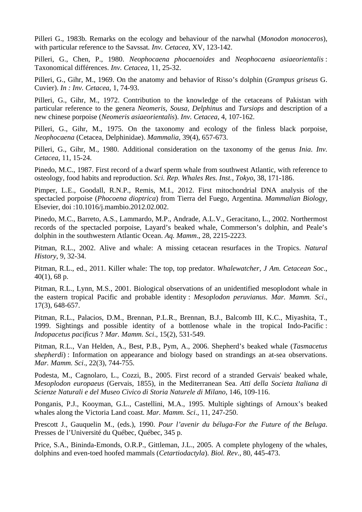Pilleri G., 1983b. Remarks on the ecology and behaviour of the narwhal (*Monodon monoceros*), with particular reference to the Savssat*. Inv. Cetacea*, XV, 123-142.

Pilleri, G., Chen, P., 1980. *Neophocaena phocaenoides* and *Neophocaena asiaeorientalis* : Taxonomical différences. *Inv. Cetacea*, 11, 25-32.

Pilleri, G., Gihr, M., 1969. On the anatomy and behavior of Risso's dolphin (*Grampus griseus* G. Cuvier). *In : Inv. Cetacea*, 1, 74-93.

Pilleri, G., Gihr, M., 1972. Contribution to the knowledge of the cetaceans of Pakistan with particular reference to the genera *Neomeris, Sousa, Delphinus* and *Tursiops* and description of a new chinese porpoise (*Neomeris asiaeorientalis*). *Inv. Cetacea*, 4, 107-162.

Pilleri, G., Gihr, M., 1975. On the taxonomy and ecology of the finless black porpoise, *Neophocaena* (Cetacea, Delphinidae). *Mammalia*, 39(4), 657-673.

Pilleri, G., Gihr, M., 1980. Additional consideration on the taxonomy of the genus *Inia*. *Inv. Cetacea*, 11, 15-24.

Pinedo, M.C., 1987. First record of a dwarf sperm whale from southwest Atlantic, with reference to osteology, food habits and reproduction. *Sci. Rep. Whales Res. Inst., Tokyo*, 38, 171-186.

Pimper, L.E., Goodall, R.N.P., Remis, M.I., 2012. First mitochondrial DNA analysis of the spectacled porpoise (*Phocoena dioptrica*) from Tierra del Fuego, Argentina. *Mammalian Biology*, Elsevier, doi :10.1016/j.mambio.2012.02.002.

Pinedo, M.C., Barreto, A.S., Lammardo, M.P., Andrade, A.L.V., Geracitano, L., 2002. Northermost records of the spectacled porpoise, Layard's beaked whale, Commerson's dolphin, and Peale's dolphin in the southwestern Atlantic Ocean. *Aq. Mamm*., 28, 2215-2223.

Pitman, R.L., 2002. Alive and whale: A missing cetacean resurfaces in the Tropics. *Natural History*, 9, 32-34.

Pitman, R.L., ed., 2011. Killer whale: The top, top predator. *Whalewatcher, J Am. Cetacean Soc*., 40(1), 68 p.

Pitman, R.L., Lynn, M.S., 2001. Biological observations of an unidentified mesoplodont whale in the eastern tropical Pacific and probable identity : *Mesoplodon peruvianus*. *Mar. Mamm. Sci*., 17(3), 648-657.

Pitman, R.L., Palacios, D.M., Brennan, P.L.R., Brennan, B.J., Balcomb III, K.C., Miyashita, T., 1999. Sightings and possible identity of a bottlenose whale in the tropical Indo-Pacific : *Indopacetus pacificus* ? *Mar. Mamm. Sci*., 15(2), 531-549.

Pitman, R.L., Van Helden, A., Best, P.B., Pym, A., 2006. Shepherd's beaked whale (*Tasmacetus shepherdi*) : Information on appearance and biology based on strandings an at-sea observations. *Mar. Mamm. Sci*., 22(3), 744-755.

Podesta, M., Cagnolaro, L., Cozzi, B., 2005. First record of a stranded Gervais' beaked whale, *Mesoplodon europaeus* (Gervais, 1855), in the Mediterranean Sea. *Atti della Societa Italiana di Scienze Naturali e del Museo Civico di Storia Naturele di Milano,* 146, 109-116.

Ponganis, P.J., Kooyman, G.L., Castellini, M.A., 1995. Multiple sightings of Arnoux's beaked whales along the Victoria Land coast. *Mar. Mamm. Sci*., 11, 247-250.

Prescott J., Gauquelin M., (eds.), 1990. *Pour l'avenir du béluga-For the Future of the Beluga*. Presses de l'Université du Québec, Québec, 345 p.

Price, S.A., Bininda-Emonds, O.R.P., Gittleman, J.L., 2005. A complete phylogeny of the whales, dolphins and even-toed hoofed mammals (*Cetartiodactyla*). *Biol. Rev*., 80, 445-473.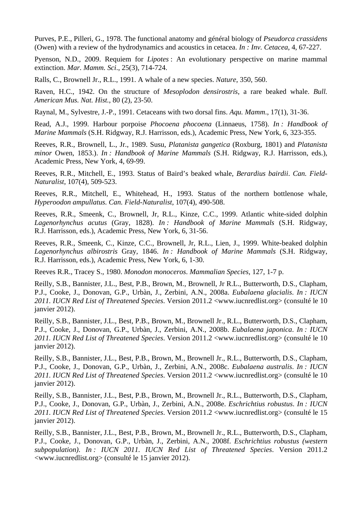Purves, P.E., Pilleri, G., 1978. The functional anatomy and général biology of *Pseudorca crassidens* (Owen) with a review of the hydrodynamics and acoustics in cetacea. *In : Inv. Cetacea*, 4, 67-227.

Pyenson, N.D., 2009. Requiem for *Lipotes* : An evolutionary perspective on marine mammal extinction. *Mar. Mamm. Sci*., 25(3), 714-724.

Ralls, C., Brownell Jr., R.L., 1991. A whale of a new species. *Nature*, 350, 560.

Raven, H.C., 1942. On the structure of *Mesoplodon densirostris*, a rare beaked whale. *Bull. American Mus. Nat. Hist.*, 80 (2), 23-50.

Raynal, M., Sylvestre, J.-P., 1991. Cetaceans with two dorsal fins. *Aqu. Mamm*., 17(1), 31-36.

Read, A.J., 1999. Harbour porpoise *Phocoena phocoena* (Linnaeus, 1758). *In : Handbook of Marine Mammals* (S.H. Ridgway, R.J. Harrisson, eds.), Academic Press, New York, 6, 323-355.

Reeves, R.R., Brownell, L., Jr., 1989. Susu, *Platanista gangetica* (Roxburg, 1801) and *Platanista minor* Owen, 1853.). *In : Handbook of Marine Mammals* (S.H. Ridgway, R.J. Harrisson, eds.), Academic Press, New York, 4, 69-99.

Reeves, R.R., Mitchell, E., 1993. Status of Baird's beaked whale, *Berardius bairdii*. *Can. Field-Naturalist*, 107(4), 509-523.

Reeves, R.R., Mitchell, E., Whitehead, H., 1993. Status of the northern bottlenose whale, *Hyperoodon ampullatus. Can. Field-Naturalist*, 107(4), 490-508.

Reeves, R.R., Smeenk, C., Brownell, Jr, R.L., Kinze, C.C., 1999. Atlantic white-sided dolphin *Lagenorhynchus acutus* (Gray, 1828). *In : Handbook of Marine Mammals* (S.H. Ridgway, R.J. Harrisson, eds.), Academic Press, New York, 6, 31-56.

Reeves, R.R., Smeenk, C., Kinze, C.C., Brownell, Jr, R.L., Lien, J., 1999. White-beaked dolphin *Lagenorhynchus albirostris* Gray, 1846. *In : Handbook of Marine Mammals* (S.H. Ridgway, R.J. Harrisson, eds.), Academic Press, New York, 6, 1-30.

Reeves R.R., Tracey S., 1980. *Monodon monoceros*. *Mammalian Species*, 127, 1-7 p.

Reilly, S.B., Bannister, J.L., Best, P.B., Brown, M., Brownell, Jr R.L., Butterworth, D.S., Clapham, P.J., Cooke, J., Donovan, G.P., Urbàn, J., Zerbini, A.N., 2008a. *Eubalaena glacialis*. *In : IUCN 2011. IUCN Red List of Threatened Species*. Version 2011.2 <www.iucnredlist.org> (consulté le 10 janvier 2012).

Reilly, S.B., Bannister, J.L., Best, P.B., Brown, M., Brownell Jr., R.L., Butterworth, D.S., Clapham, P.J., Cooke, J., Donovan, G.P., Urbàn, J., Zerbini, A.N., 2008b. *Eubalaena japonica*. *In : IUCN 2011. IUCN Red List of Threatened Species*. Version 2011.2 <www.iucnredlist.org> (consulté le 10 janvier 2012).

Reilly, S.B., Bannister, J.L., Best, P.B., Brown, M., Brownell Jr., R.L., Butterworth, D.S., Clapham, P.J., Cooke, J., Donovan, G.P., Urbàn, J., Zerbini, A.N., 2008c. *Eubalaena australis*. *In : IUCN 2011. IUCN Red List of Threatened Species*. Version 2011.2 <www.iucnredlist.org> (consulté le 10 janvier 2012).

Reilly, S.B., Bannister, J.L., Best, P.B., Brown, M., Brownell Jr., R.L., Butterworth, D.S., Clapham, P.J., Cooke, J., Donovan, G.P., Urbàn, J., Zerbini, A.N., 2008e. *Eschrichtius robustus*. *In : IUCN 2011. IUCN Red List of Threatened Species*. Version 2011.2 <www.iucnredlist.org> (consulté le 15 janvier 2012).

Reilly, S.B., Bannister, J.L., Best, P.B., Brown, M., Brownell Jr., R.L., Butterworth, D.S., Clapham, P.J., Cooke, J., Donovan, G.P., Urbàn, J., Zerbini, A.N., 2008f. *Eschrichtius robustus (western subpopulation)*. *In : IUCN 2011. IUCN Red List of Threatened Species*. Version 2011.2 <www.iucnredlist.org> (consulté le 15 janvier 2012).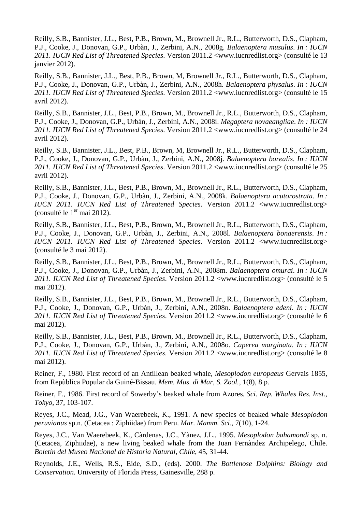Reilly, S.B., Bannister, J.L., Best, P.B., Brown, M., Brownell Jr., R.L., Butterworth, D.S., Clapham, P.J., Cooke, J., Donovan, G.P., Urbàn, J., Zerbini, A.N., 2008g. *Balaenoptera musulus*. *In : IUCN 2011. IUCN Red List of Threatened Species*. Version 2011.2 <www.iucnredlist.org> (consulté le 13 janvier 2012).

Reilly, S.B., Bannister, J.L., Best, P.B., Brown, M, Brownell Jr., R.L., Butterworth, D.S., Clapham, P.J., Cooke, J., Donovan, G.P., Urbàn, J., Zerbini, A.N., 2008h. *Balaenoptera physalus*. *In : IUCN 2011. IUCN Red List of Threatened Species*. Version 2011.2 <www.iucnredlist.org> (consulté le 15 avril 2012).

Reilly, S.B., Bannister, J.L., Best, P.B., Brown, M., Brownell Jr., R.L., Butterworth, D.S., Clapham, P.J., Cooke, J., Donovan, G.P., Urbàn, J., Zerbini, A.N., 2008i. *Megaptera novaeangliae*. *In : IUCN 2011. IUCN Red List of Threatened Species*. Version 2011.2 <www.iucnredlist.org> (consulté le 24 avril 2012).

Reilly, S.B., Bannister, J.L., Best, P.B., Brown, M, Brownell Jr., R.L., Butterworth, D.S., Clapham, P.J., Cooke, J., Donovan, G.P., Urbàn, J., Zerbini, A.N., 2008j. *Balaenoptera borealis*. *In : IUCN 2011. IUCN Red List of Threatened Species*. Version 2011.2 <www.iucnredlist.org> (consulté le 25 avril 2012).

Reilly, S.B., Bannister, J.L., Best, P.B., Brown, M., Brownell Jr., R.L., Butterworth, D.S., Clapham, P.J., Cooke, J., Donovan, G.P., Urbàn, J., Zerbini, A.N., 2008k. *Balaenoptera acutorostrata*. *In : IUCN 2011. IUCN Red List of Threatened Species*. Version 2011.2 <www.iucnredlist.org> (consulté le  $1<sup>er</sup>$  mai 2012).

Reilly, S.B., Bannister, J.L., Best, P.B., Brown, M., Brownell Jr., R.L., Butterworth, D.S., Clapham, P.J., Cooke, J., Donovan, G.P., Urbàn, J., Zerbini, A.N., 2008l. *Balaenoptera bonaerensis*. *In : IUCN 2011. IUCN Red List of Threatened Species*. Version 2011.2 <www.iucnredlist.org> (consulté le 3 mai 2012).

Reilly, S.B., Bannister, J.L., Best, P.B., Brown, M., Brownell Jr., R.L., Butterworth, D.S., Clapham, P.J., Cooke, J., Donovan, G.P., Urbàn, J., Zerbini, A.N., 2008m. *Balaenoptera omurai*. *In : IUCN 2011. IUCN Red List of Threatened Species*. Version 2011.2 <www.iucnredlist.org> (consulté le 5 mai 2012).

Reilly, S.B., Bannister, J.L., Best, P.B., Brown, M., Brownell Jr., R.L., Butterworth, D.S., Clapham, P.J., Cooke, J., Donovan, G.P., Urbàn, J., Zerbini, A.N., 2008n. *Balaenoptera edeni*. *In : IUCN 2011. IUCN Red List of Threatened Species*. Version 2011.2 <www.iucnredlist.org> (consulté le 6 mai 2012).

Reilly, S.B., Bannister, J.L., Best, P.B., Brown, M., Brownell Jr., R.L., Butterworth, D.S., Clapham, P.J., Cooke, J., Donovan, G.P., Urbàn, J., Zerbini, A.N., 2008o. *Caperea marginata*. *In : IUCN 2011. IUCN Red List of Threatened Species*. Version 2011.2 <www.iucnredlist.org> (consulté le 8 mai 2012).

Reiner, F., 1980. First record of an Antillean beaked whale, *Mesoplodon europaeus* Gervais 1855, from Repùblica Popular da Guiné-Bissau. *Mem. Mus. di Mar, S. Zool.*, 1(8), 8 p.

Reiner, F., 1986. First record of Sowerby's beaked whale from Azores*. Sci. Rep. Whales Res. Inst., Tokyo*, 37, 103-107.

Reyes, J.C., Mead, J.G., Van Waerebeek, K., 1991. A new species of beaked whale *Mesoplodon peruvianus* sp.n. (Cetacea : Ziphiidae) from Peru. *Mar. Mamm. Sci*., 7(10), 1-24.

Reyes, J.C., Van Waerebeek, K., Càrdenas, J.C., Yànez, J.L., 1995. *Mesoplodon bahamondi* sp. n. (Cetacea, Ziphiidae), a new living beaked whale from the Juan Fernàndez Archipelego, Chile. *Boletin del Museo Nacional de Historia Natural, Chile*, 45, 31-44.

Reynolds, J.E., Wells, R.S., Eide, S.D., (eds). 2000. *The Bottlenose Dolphins: Biology and Conservation*. University of Florida Press, Gainesville, 288 p.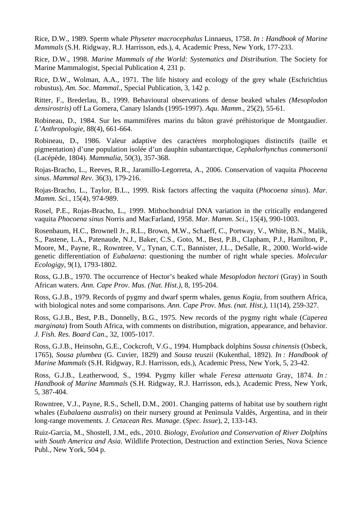Rice, D.W., 1989. Sperm whale *Physeter macrocephalus* Linnaeus, 1758. *In : Handbook of Marine Mammals* (S.H. Ridgway, R.J. Harrisson, eds.), 4, Academic Press, New York, 177-233.

Rice, D.W., 1998. *Marine Mammals of the World: Systematics and Distribution*. The Society for Marine Mammalogist, Special Publication 4, 231 p.

Rice, D.W., Wolman, A.A., 1971. The life history and ecology of the grey whale (Eschrichtius robustu*s*), *Am. Soc. Mammal.*, Special Publication, 3, 142 p.

Ritter, F., Brederlau, B., 1999. Behavioural observations of dense beaked whales *(Mesoplodon densirostris)* off La Gomera, Canary Islands (1995-1997). *Aqu. Mamm*., 25(2), 55-61.

Robineau, D., 1984. Sur les mammifères marins du bâton gravé préhistorique de Montgaudier. *L'Anthropologie*, 88(4), 661-664.

Robineau, D., 1986. Valeur adaptive des caractères morphologiques distinctifs (taille et pigmentation) d'une population isolée d'un dauphin subantarctique, *Cephalorhynchus commersonii* (Lacépède, 1804). *Mammalia*, 50(3), 357-368.

Rojas-Bracho, L., Reeves, R.R., Jaramillo-Legorreta, A., 2006. Conservation of vaquita *Phoceena sinus*. *Mammal Rev*. 36(3), 179-216.

Rojas-Bracho, L., Taylor, B.L., 1999. Risk factors affecting the vaquita (*Phocoena sinus*). *Mar. Mamm. Sci.*, 15(4), 974-989.

Rosel, P.E., Rojas-Bracho, L., 1999. Mithochondrial DNA variation in the critically endangered vaquita *Phocoena sinus* Norris and MacFarland, 1958. *Mar. Mamm. Sci*., 15(4), 990-1003.

Rosenbaum, H.C., Brownell Jr., R.L., Brown, M.W., Schaeff, C., Portway, V., White, B.N., Malik, S., Pastene, L.A., Patenaude, N.J., Baker, C.S., Goto, M., Best, P.B., Clapham, P.J., Hamilton, P., Moore, M., Payne, R., Rowntree, V., Tynan, C.T., Bannister, J.L., DeSalle, R., 2000. World-wide genetic differentiation of *Eubalaena*: questioning the number of right whale species. *Molecular Ecologigy*, 9(1), 1793-1802.

Ross, G.J.B., 1970. The occurrence of Hector's beaked whale *Mesoplodon hectori* (Gray) in South African waters. *Ann. Cape Prov. Mus. (Nat. Hist.)*, 8, 195-204.

Ross, G.J.B., 1979. Records of pygmy and dwarf sperm whales, genus *Kogia*, from southern Africa, with biological notes and some comparisons. *Ann. Cape Prov. Mus. (nat. Hist.)*, 11(14), 259-327.

Ross, G.J.B., Best, P.B., Donnelly, B.G., 1975. New records of the pygmy right whale (*Caperea marginata*) from South Africa, with comments on distribution, migration, appearance, and behavior. *J. Fish. Res. Board Can*., 32, 1005-1017.

Ross, G.J.B., Heinsohn, G.E., Cockcroft, V.G., 1994. Humpback dolphins *Sousa chinensis* (Osbeck, 1765), *Sousa plumbea* (G. Cuvier, 1829) and *Sousa teuszii* (Kukenthal, 1892). *In : Handbook of Marine Mammals* (S.H. Ridgway, R.J. Harrisson, eds.), Academic Press, New York, 5, 23-42.

Ross, G.J.B., Leatherwood, S., 1994. Pygmy killer whale *Feresa attenuata* Gray, 1874. *In : Handbook of Marine Mammals* (S.H. Ridgway, R.J. Harrisson, eds.), Academic Press, New York, 5, 387-404.

Rowntree, V.J., Payne, R.S., Schell, D.M., 2001. Changing patterns of habitat use by southern right whales (*Eubalaena australis*) on their nursery ground at Penìnsula Valdès, Argentina, and in their long-range movements*. J. Cetacean Res. Manage*. (*Spec. Issue*), 2, 133-143.

Ruiz-Garcia, M., Shostell, J.M., eds., 2010. *Biology, Evolution and Conservation of River Dolphins with South America and Asia*. Wildlife Protection, Destruction and extinction Series, Nova Science Publ., New York, 504 p.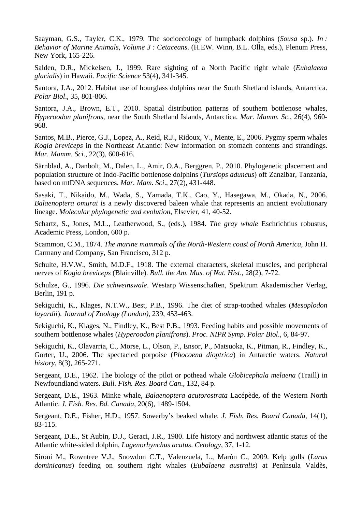Saayman, G.S., Tayler, C.K., 1979. The socioecology of humpback dolphins (*Sousa* sp.). *In : Behavior of Marine Animals, Volume 3 : Cetaceans*. (H.EW. Winn, B.L. Olla, eds.), Plenum Press, New York, 165-226.

Salden, D.R., Mickelsen, J., 1999. Rare sighting of a North Pacific right whale (*Eubalaena glacialis*) in Hawaii. *Pacific Science* 53(4), 341-345.

Santora, J.A., 2012. Habitat use of hourglass dolphins near the South Shetland islands, Antarctica. *Polar Biol*., 35, 801-806.

Santora, J.A., Brown, E.T., 2010. Spatial distribution patterns of southern bottlenose whales, *Hyperoodon planifrons*, near the South Shetland Islands, Antarctica. *Mar. Mamm. Sc*., 26(4), 960- 968.

Santos, M.B., Pierce, G.J., Lopez, A., Reid, R.J., Ridoux, V., Mente, E., 2006. Pygmy sperm whales *Kogia breviceps* in the Northeast Atlantic: New information on stomach contents and strandings. *Mar. Mamm. Sci.,* 22(3), 600-616.

Särnblad, A., Danbolt, M., Dalen, L., Amir, O.A., Berggren, P., 2010. Phylogenetic placement and population structure of Indo-Pacific bottlenose dolphins (*Tursiops aduncus*) off Zanzibar, Tanzania, based on mtDNA sequences. *Mar. Mam. Sci*., 27(2), 431-448.

Sasaki, T., Nikaido, M., Wada, S., Yamada, T.K., Cao, Y., Hasegawa, M., Okada, N., 2006. *Balaenoptera omurai* is a newly discovered baleen whale that represents an ancient evolutionary lineage. *Molecular phylogenetic and evolution*, Elsevier, 41, 40-52.

Schartz, S., Jones, M.L., Leatherwood, S., (eds.), 1984. *The gray whale* Eschrichtius robustus, Academic Press, London, 600 p.

Scammon, C.M., 1874. *The marine mammals of the North-Western coast of North America,* John H. Carmany and Company, San Francisco, 312 p.

Schulte, H.V.W., Smith, M.D.F., 1918. The external characters, skeletal muscles, and peripheral nerves of *Kogia breviceps* (Blainville). *Bull. the Am. Mus. of Nat. Hist*., 28(2), 7-72.

Schulze, G., 1996. *Die schweinswale*. Westarp Wissenschaften, Spektrum Akademischer Verlag, Berlin, 191 p.

Sekiguchi, K., Klages, N.T.W., Best, P.B., 1996. The diet of strap-toothed whales (*Mesoplodon layardii*). *Journal of Zoology (London)*, 239, 453-463.

Sekiguchi, K., Klages, N., Findley, K., Best P.B., 1993. Feeding habits and possible movements of southern bottlenose whales (*Hyperoodon planifrons*). *Proc. NIPR Symp. Polar Biol*., 6, 84-97.

Sekiguchi, K., Olavarria, C., Morse, L., Olson, P., Ensor, P., Matsuoka, K., Pitman, R., Findley, K., Gorter, U., 2006. The spectacled porpoise (*Phocoena dioptrica*) in Antarctic waters. *Natural history*, 8(3), 265-271.

Sergeant, D.E., 1962. The biology of the pilot or pothead whale *Globicephala melaena* (Traill) in Newfoundland waters. *Bull. Fish. Res. Board Can*., 132, 84 p.

Sergeant, D.E., 1963. Minke whale*, Balaenoptera acutorostrata* Lacépède, of the Western North Atlantic. *J. Fish. Res. Bd. Canada*, 20(6), 1489-1504.

Sergeant, D.E., Fisher, H.D., 1957. Sowerby's beaked whale. *J. Fish. Res. Board Canada*, 14(1), 83-115.

Sergeant, D.E., St Aubin, D.J., Geraci, J.R., 1980. Life history and northwest atlantic status of the Atlantic white-sided dolphin, *Lagenorhynchus acutus*. *Cetology*, 37, 1-12.

Sironi M., Rowntree V.J., Snowdon C.T., Valenzuela, L., Maròn C., 2009. Kelp gulls (*Larus dominicanus*) feeding on southern right whales (*Eubalaena australis*) at Penìnsula Valdès,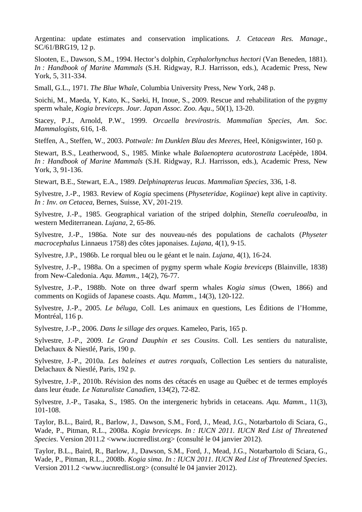Argentina: update estimates and conservation implications*. J. Cetacean Res. Manage*., SC/61/BRG19, 12 p.

Slooten, E., Dawson, S.M., 1994. Hector's dolphin, *Cephalorhynchus hectori* (Van Beneden, 1881). *In : Handbook of Marine Mammals* (S.H. Ridgway, R.J. Harrisson, eds.), Academic Press, New York, 5, 311-334.

Small, G.L., 1971. *The Blue Whale*, Columbia University Press, New York, 248 p.

Soichi, M., Maeda, Y, Kato, K., Saeki, H, Inoue, S., 2009. Rescue and rehabilitation of the pygmy sperm whale, *Kogia breviceps*. *Jour. Japan Assoc. Zoo. Aqu*., 50(1), 13-20.

Stacey, P.J., Arnold, P.W., 1999. *Orcaella brevirostris*. *Mammalian Species, Am. Soc. Mammalogists*, 616, 1-8.

Steffen, A., Steffen, W., 2003. *Pottwale: Im Dunklen Blau des Meeres,* Heel, Königswinter, 160 p.

Stewart, B.S., Leatherwood, S., 1985. Minke whale *Balaenoptera acutorostrata* Lacépède, 1804. *In : Handbook of Marine Mammals* (S.H. Ridgway, R.J. Harrisson, eds.), Academic Press, New York, 3, 91-136.

Stewart, B.E., Stewart, E.A., 1989. *Delphinapterus leucas*. *Mammalian Species*, 336, 1-8.

Sylvestre, J.-P., 1983. Review of *Kogia* specimens (*Physeteridae*, *Kogiinae*) kept alive in captivity*. In : Inv. on Cetacea*, Bernes, Suisse, XV, 201-219.

Sylvestre, J.-P., 1985. Geographical variation of the striped dolphin, *Stenella coeruleoalba*, in western Mediterranean. *Lujana*, 2, 65-86.

Sylvestre, J.-P., 1986a. Note sur des nouveau-nés des populations de cachalots (*Physeter macrocephalus* Linnaeus 1758) des côtes japonaises. *Lujana*, 4(1), 9-15.

Sylvestre, J.P., 1986b. Le rorqual bleu ou le géant et le nain. *Lujana*, 4(1), 16-24.

Sylvestre, J.-P., 1988a. On a specimen of pygmy sperm whale *Kogia breviceps* (Blainville, 1838) from New-Caledonia. *Aqu. Mamm*., 14(2), 76-77.

Sylvestre, J.-P., 1988b. Note on three dwarf sperm whales *Kogia simus* (Owen, 1866) and comments on Kogiids of Japanese coasts. *Aqu. Mamm*., 14(3), 120-122.

Sylvestre, J.-P., 2005. *Le béluga*, Coll. Les animaux en questions, Les Éditions de l'Homme, Montréal, 116 p.

Sylvestre, J.-P., 2006. *Dans le sillage des orques*. Kameleo, Paris, 165 p.

Sylvestre, J.-P., 2009. *Le Grand Dauphin et ses Cousins*. Coll. Les sentiers du naturaliste, Delachaux & Niestlé, Paris, 190 p.

Sylvestre, J.-P., 2010a. *Les baleines et autres rorquals*, Collection Les sentiers du naturaliste, Delachaux & Niestlé, Paris, 192 p.

Sylvestre, J.-P., 2010b. Révision des noms des cétacés en usage au Québec et de termes employés dans leur étude*. Le Naturaliste Canadien*, 134(2), 72-82.

Sylvestre, J.-P., Tasaka, S., 1985. On the intergeneric hybrids in cetaceans. *Aqu. Mamm.*, 11(3), 101-108.

Taylor, B.L., Baird, R., Barlow, J., Dawson, S.M., Ford, J., Mead, J.G., Notarbartolo di Sciara, G., Wade, P., Pitman, R.L., 2008a. *Kogia breviceps*. *In : IUCN 2011. IUCN Red List of Threatened Species*. Version 2011.2 <www.iucnredlist.org> (consulté le 04 janvier 2012).

Taylor, B.L., Baird, R., Barlow, J., Dawson, S.M., Ford, J., Mead, J.G., Notarbartolo di Sciara, G., Wade, P., Pitman, R.L., 2008b. *Kogia sima*. *In : IUCN 2011. IUCN Red List of Threatened Species*. Version 2011.2 <www.iucnredlist.org> (consulté le 04 janvier 2012).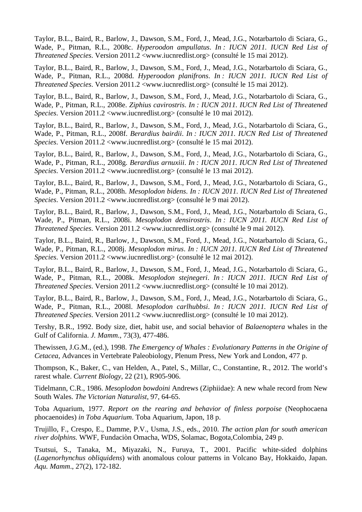Taylor, B.L., Baird, R., Barlow, J., Dawson, S.M., Ford, J., Mead, J.G., Notarbartolo di Sciara, G., Wade, P., Pitman, R.L., 2008c. *Hyperoodon ampullatus*. *In : IUCN 2011. IUCN Red List of Threatened Species*. Version 2011.2 <www.iucnredlist.org> (consulté le 15 mai 2012).

Taylor, B.L., Baird, R., Barlow, J., Dawson, S.M., Ford, J., Mead, J.G., Notarbartolo di Sciara, G., Wade, P., Pitman, R.L., 2008d. *Hyperoodon planifrons*. *In : IUCN 2011. IUCN Red List of Threatened Species*. Version 2011.2 <www.iucnredlist.org> (consulté le 15 mai 2012).

Taylor, B.L., Baird, R., Barlow, J., Dawson, S.M., Ford, J., Mead, J.G., Notarbartolo di Sciara, G., Wade, P., Pitman, R.L., 2008e. *Ziphius cavirostris*. *In : IUCN 2011. IUCN Red List of Threatened Species*. Version 2011.2 <www.iucnredlist.org> (consulté le 10 mai 2012).

Taylor, B.L., Baird, R., Barlow, J., Dawson, S.M., Ford, J., Mead, J.G., Notarbartolo di Sciara, G., Wade, P., Pitman, R.L., 2008f. *Berardius bairdii*. *In : IUCN 2011. IUCN Red List of Threatened Species*. Version 2011.2 <www.iucnredlist.org> (consulté le 15 mai 2012).

Taylor, B.L., Baird, R., Barlow, J., Dawson, S.M., Ford, J., Mead, J.G., Notarbartolo di Sciara, G., Wade, P., Pitman, R.L., 2008g. *Berardius arnuxiii*. *In : IUCN 2011. IUCN Red List of Threatened Species*. Version 2011.2 <www.iucnredlist.org> (consulté le 13 mai 2012).

Taylor, B.L., Baird, R., Barlow, J., Dawson, S.M., Ford, J., Mead, J.G., Notarbartolo di Sciara, G., Wade, P., Pitman, R.L., 2008h. *Mesoplodon bidens*. *In : IUCN 2011. IUCN Red List of Threatened Species*. Version 2011.2 <www.iucnredlist.org> (consulté le 9 mai 2012).

Taylor, B.L., Baird, R., Barlow, J., Dawson, S.M., Ford, J., Mead, J.G., Notarbartolo di Sciara, G., Wade, P., Pitman, R.L., 2008i. *Mesoplodon densirostris*. *In : IUCN 2011. IUCN Red List of Threatened Species*. Version 2011.2 <www.iucnredlist.org> (consulté le 9 mai 2012).

Taylor, B.L., Baird, R., Barlow, J., Dawson, S.M., Ford, J., Mead, J.G., Notarbartolo di Sciara, G., Wade, P., Pitman, R.L., 2008j. *Mesoplodon mirus*. *In : IUCN 2011. IUCN Red List of Threatened Species*. Version 2011.2 <www.iucnredlist.org> (consulté le 12 mai 2012).

Taylor, B.L., Baird, R., Barlow, J., Dawson, S.M., Ford, J., Mead, J.G., Notarbartolo di Sciara, G., Wade, P., Pitman, R.L., 2008k. *Mesoplodon stejnegeri*. *In : IUCN 2011. IUCN Red List of Threatened Species*. Version 2011.2 <www.iucnredlist.org> (consulté le 10 mai 2012).

Taylor, B.L., Baird, R., Barlow, J., Dawson, S.M., Ford, J., Mead, J.G., Notarbartolo di Sciara, G., Wade, P., Pitman, R.L., 2008l. *Mesoplodon carlhubbsi*. *In : IUCN 2011. IUCN Red List of Threatened Species*. Version 2011.2 <www.iucnredlist.org> (consulté le 10 mai 2012).

Tershy, B.R., 1992. Body size, diet, habit use, and social behavior of *Balaenoptera* whales in the Gulf of California. *J. Mamm*., 73(3), 477-486.

Thewissen, J.G.M., (ed.), 1998. *The Emergency of Whales : Evolutionary Patterns in the Origine of Cetacea*, Advances in Vertebrate Paleobiology, Plenum Press, New York and London, 477 p.

Thompson, K., Baker, C., van Helden, A., Patel, S., Millar, C., Constantine, R., 2012. The world's rarest whale. *Current Biology*, 22 (21), R905-906.

Tidelmann, C.R., 1986. *Mesoplodon bowdoini* Andrews (Ziphiidae): A new whale record from New South Wales. *The Victorian Naturalist*, 97, 64-65.

Toba Aquarium, 1977. *Report on the rearing and behavior of finless porpoise* (Neophocaena phocaenoides) *in Toba Aquarium*. Toba Aquarium, Japon, 18 p.

Trujillo, F., Crespo, E., Damme, P.V., Usma, J.S., eds., 2010. *The action plan for south american river dolphins.* WWF, Fundaciòn Omacha, WDS, Solamac, Bogota,Colombia, 249 p.

Tsutsui, S., Tanaka, M., Miyazaki, N., Furuya, T., 2001. Pacific white-sided dolphins (*Lagenorhynchus obliquidens*) with anomalous colour patterns in Volcano Bay, Hokkaido, Japan. *Aqu. Mamm*., 27(2), 172-182.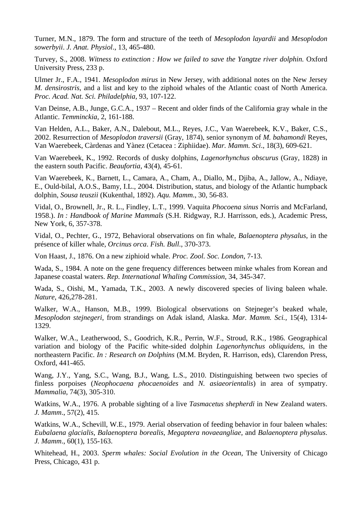Turner, M.N., 1879. The form and structure of the teeth of *Mesoplodon layardii* and *Mesoplodon sowerbyii*. *J. Anat. Physiol*., 13, 465-480.

Turvey, S., 2008. *Witness to extinction : How we failed to save the Yangtze river dolphin.* Oxford University Press, 233 p.

Ulmer Jr., F.A., 1941. *Mesoplodon mirus* in New Jersey, with additional notes on the New Jersey *M. densirostris*, and a list and key to the ziphoid whales of the Atlantic coast of North America. *Proc. Acad. Nat. Sci. Philadelphia*, 93, 107-122.

Van Deinse, A.B., Junge, G.C.A., 1937 – Recent and older finds of the California gray whale in the Atlantic. *Temminckia*, 2, 161-188.

Van Helden, A.L., Baker, A.N., Dalebout, M.L., Reyes, J.C., Van Waerebeek, K.V., Baker, C.S., 2002. Resurrection of *Mesoplodon traversii* (Gray, 1874), senior synonym of *M. bahamondi* Reyes, Van Waerebeek, Càrdenas and Yànez (Cetacea : Ziphiidae). *Mar. Mamm. Sci*., 18(3), 609-621.

Van Waerebeek, K., 1992. Records of dusky dolphins, *Lagenorhynchus obscurus* (Gray, 1828) in the eastern south Pacific. *Beaufortia*, 43(4), 45-61.

Van Waerebeek, K., Barnett, L., Camara, A., Cham, A., Diallo, M., Djiba, A., Jallow, A., Ndiaye, E., Ould-bilal, A.O.S., Bamy, I.L., 2004. Distribution, status, and biology of the Atlantic humpback dolphin, *Sousa teuszii* (Kukenthal, 1892). *Aqu. Mamm*., 30, 56-83.

Vidal, O., Brownell, Jr., R. L., Findley, L.T., 1999. Vaquita *Phocoena sinus* Norris and McFarland, 1958.). *In : Handbook of Marine Mammals* (S.H. Ridgway, R.J. Harrisson, eds.), Academic Press, New York, 6, 357-378.

Vidal, O., Pechter, G., 1972, Behavioral observations on fin whale*, Balaenoptera physalus*, in the présence of killer whale, *Orcinus orca*. *Fish. Bull*., 370-373.

Von Haast, J., 1876. On a new ziphioid whale. *Proc. Zool. Soc. London*, 7-13.

Wada, S., 1984. A note on the gene frequency differences between minke whales from Korean and Japanese coastal waters. *Rep. International Whaling Commission*, 34, 345-347.

Wada, S., Oishi, M., Yamada, T.K., 2003. A newly discovered species of living baleen whale. *Nature*, 426,278-281.

Walker, W.A., Hanson, M.B., 1999. Biological observations on Stejneger's beaked whale, *Mesoplodon stejnegeri*, from strandings on Adak island, Alaska. *Mar. Mamm. Sci.,* 15(4), 1314- 1329.

Walker, W.A., Leatherwood, S., Goodrich, K.R., Perrin, W.F., Stroud, R.K., 1986. Geographical variation and biology of the Pacific white-sided dolphin *Lagenorhynchus obliquidens*, in the northeastern Pacific. *In : Research on Dolphins* (M.M. Bryden, R. Harrison, eds), Clarendon Press, Oxford, 441-465.

Wang, J.Y., Yang, S.C., Wang, B.J., Wang, L.S., 2010. Distinguishing between two species of finless porpoises (*Neophocaena phocaenoides* and *N. asiaeorientalis*) in area of sympatry. *Mammalia*, 74(3), 305-310.

Watkins, W.A., 1976. A probable sighting of a live *Tasmacetus shepherdi* in New Zealand waters. *J. Mamm*., 57(2), 415.

Watkins, W.A., Schevill, W.E., 1979. Aerial observation of feeding behavior in four baleen whales: *Eubalaena glacialis*, *Balaenoptera borealis*, *Megaptera novaeangliae*, and *Balaenoptera physalus*. *J. Mamm*., 60(1), 155-163.

Whitehead, H., 2003. *Sperm whales: Social Evolution in the Ocean,* The University of Chicago Press, Chicago, 431 p.